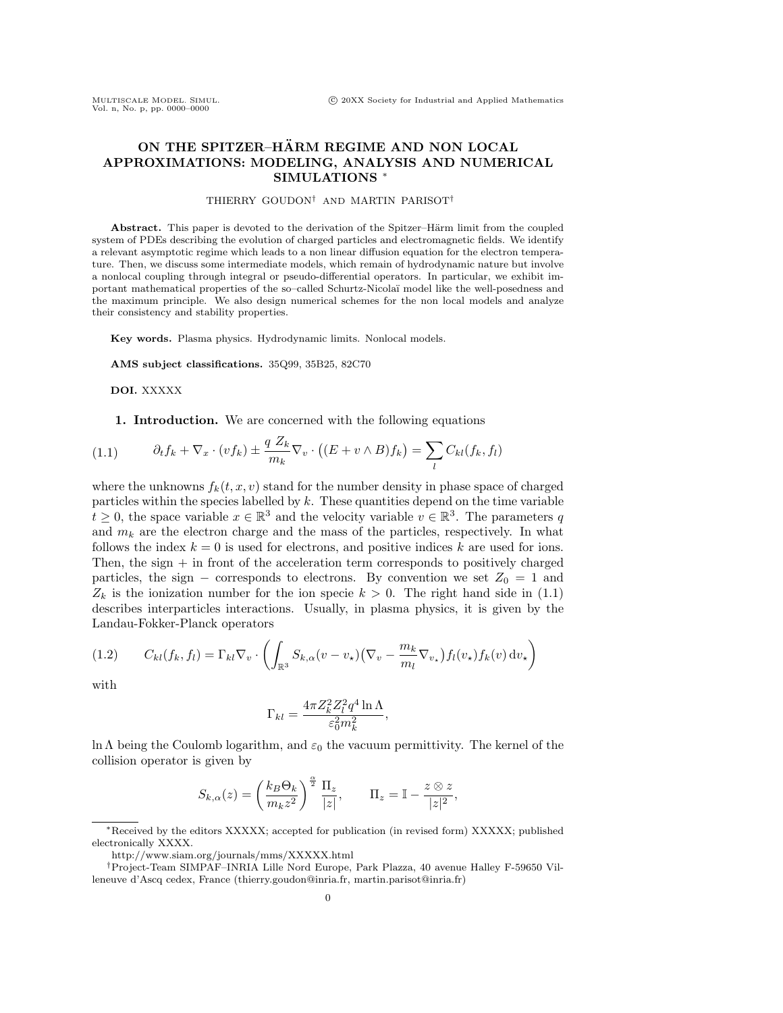# ON THE SPITZER-HÄRM REGIME AND NON LOCAL APPROXIMATIONS: MODELING, ANALYSIS AND NUMERICAL SIMULATIONS<sup>\*</sup>

## THIERRY GOUDON*†* AND MARTIN PARISOT*†*

Abstract. This paper is devoted to the derivation of the Spitzer–Härm limit from the coupled system of PDEs describing the evolution of charged particles and electromagnetic fields. We identify a relevant asymptotic regime which leads to a non linear diffusion equation for the electron temperature. Then, we discuss some intermediate models, which remain of hydrodynamic nature but involve a nonlocal coupling through integral or pseudo-differential operators. In particular, we exhibit important mathematical properties of the so–called Schurtz-Nicola¨ı model like the well-posedness and the maximum principle. We also design numerical schemes for the non local models and analyze their consistency and stability properties.

Key words. Plasma physics. Hydrodynamic limits. Nonlocal models.

AMS subject classifications. 35Q99, 35B25, 82C70

DOI. XXXXX

1. Introduction. We are concerned with the following equations

(1.1) 
$$
\partial_t f_k + \nabla_x \cdot (v f_k) \pm \frac{q Z_k}{m_k} \nabla_v \cdot ((E + v \wedge B) f_k) = \sum_l C_{kl}(f_k, f_l)
$$

where the unknowns  $f_k(t, x, v)$  stand for the number density in phase space of charged particles within the species labelled by *k*. These quantities depend on the time variable  $t \geq 0$ , the space variable  $x \in \mathbb{R}^3$  and the velocity variable  $v \in \mathbb{R}^3$ . The parameters *q* and  $m_k$  are the electron charge and the mass of the particles, respectively. In what follows the index  $k = 0$  is used for electrons, and positive indices  $k$  are used for ions. Then, the sign  $+$  in front of the acceleration term corresponds to positively charged particles, the sign – corresponds to electrons. By convention we set  $Z_0 = 1$  and  $Z_k$  is the ionization number for the ion specie  $k > 0$ . The right hand side in (1.1) describes interparticles interactions. Usually, in plasma physics, it is given by the Landau-Fokker-Planck operators

$$
(1.2) \qquad C_{kl}(f_k, f_l) = \Gamma_{kl} \nabla_v \cdot \left( \int_{\mathbb{R}^3} S_{k,\alpha}(v - v_\star) \left( \nabla_v - \frac{m_k}{m_l} \nabla_{v_\star} \right) f_l(v_\star) f_k(v) \, dv_\star \right)
$$

with

$$
\Gamma_{kl} = \frac{4\pi Z_k^2 Z_l^2 q^4 \ln \Lambda}{\varepsilon_0^2 m_k^2},
$$

ln  $\Lambda$  being the Coulomb logarithm, and  $\varepsilon_0$  the vacuum permittivity. The kernel of the collision operator is given by

$$
S_{k,\alpha}(z) = \left(\frac{k_B \Theta_k}{m_k z^2}\right)^{\frac{\alpha}{2}} \frac{\Pi_z}{|z|}, \qquad \Pi_z = \mathbb{I} - \frac{z \otimes z}{|z|^2},
$$

<sup>⇤</sup>Received by the editors XXXXX; accepted for publication (in revised form) XXXXX; published electronically XXXX.

http://www.siam.org/journals/mms/XXXXX.html

*<sup>†</sup>*Project-Team SIMPAF–INRIA Lille Nord Europe, Park Plazza, 40 avenue Halley F-59650 Villeneuve d'Ascq cedex, France (thierry.goudon@inria.fr, martin.parisot@inria.fr)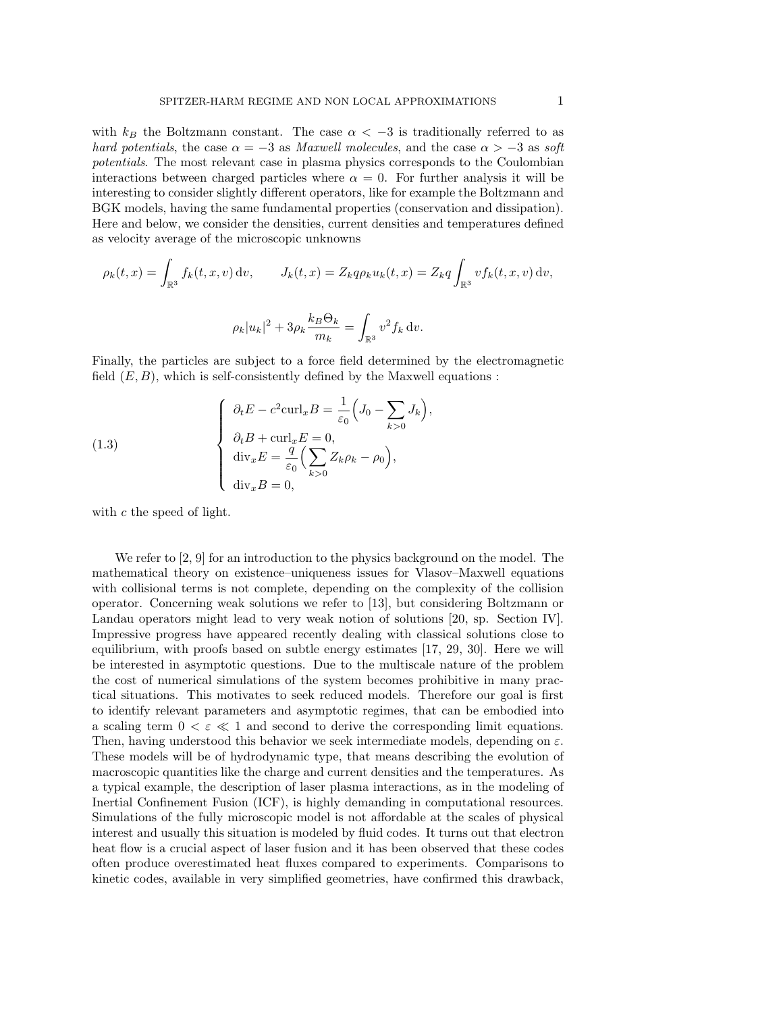with  $k_B$  the Boltzmann constant. The case  $\alpha < -3$  is traditionally referred to as *hard potentials*, the case  $\alpha = -3$  as *Maxwell molecules*, and the case  $\alpha > -3$  as *soft potentials*. The most relevant case in plasma physics corresponds to the Coulombian interactions between charged particles where  $\alpha = 0$ . For further analysis it will be interesting to consider slightly different operators, like for example the Boltzmann and BGK models, having the same fundamental properties (conservation and dissipation). Here and below, we consider the densities, current densities and temperatures defined as velocity average of the microscopic unknowns

$$
\rho_k(t, x) = \int_{\mathbb{R}^3} f_k(t, x, v) dv, \qquad J_k(t, x) = Z_k q \rho_k u_k(t, x) = Z_k q \int_{\mathbb{R}^3} v f_k(t, x, v) dv,
$$

$$
\rho_k |u_k|^2 + 3 \rho_k \frac{k_B \Theta_k}{m_k} = \int_{\mathbb{R}^3} v^2 f_k dv.
$$

Finally, the particles are subject to a force field determined by the electromagnetic field  $(E, B)$ , which is self-consistently defined by the Maxwell equations :

 $\mathbb{R}^3$ 

*,*

(1.3) 
$$
\begin{cases} \partial_t E - c^2 \operatorname{curl}_x B = \frac{1}{\varepsilon_0} \left( J_0 - \sum_{k>0} J_k \right) \\ \partial_t B + \operatorname{curl}_x E = 0, \\ \operatorname{div}_x E = \frac{q}{\varepsilon_0} \left( \sum_{k>0} Z_k \rho_k - \rho_0 \right), \\ \operatorname{div}_x B = 0, \end{cases}
$$

with *c* the speed of light.

We refer to [2, 9] for an introduction to the physics background on the model. The mathematical theory on existence–uniqueness issues for Vlasov–Maxwell equations with collisional terms is not complete, depending on the complexity of the collision operator. Concerning weak solutions we refer to [13], but considering Boltzmann or Landau operators might lead to very weak notion of solutions [20, sp. Section IV]. Impressive progress have appeared recently dealing with classical solutions close to equilibrium, with proofs based on subtle energy estimates [17, 29, 30]. Here we will be interested in asymptotic questions. Due to the multiscale nature of the problem the cost of numerical simulations of the system becomes prohibitive in many practical situations. This motivates to seek reduced models. Therefore our goal is first to identify relevant parameters and asymptotic regimes, that can be embodied into a scaling term  $0 < \varepsilon \ll 1$  and second to derive the corresponding limit equations. Then, having understood this behavior we seek intermediate models, depending on  $\varepsilon$ . These models will be of hydrodynamic type, that means describing the evolution of macroscopic quantities like the charge and current densities and the temperatures. As a typical example, the description of laser plasma interactions, as in the modeling of Inertial Confinement Fusion (ICF), is highly demanding in computational resources. Simulations of the fully microscopic model is not affordable at the scales of physical interest and usually this situation is modeled by fluid codes. It turns out that electron heat flow is a crucial aspect of laser fusion and it has been observed that these codes often produce overestimated heat fluxes compared to experiments. Comparisons to kinetic codes, available in very simplified geometries, have confirmed this drawback,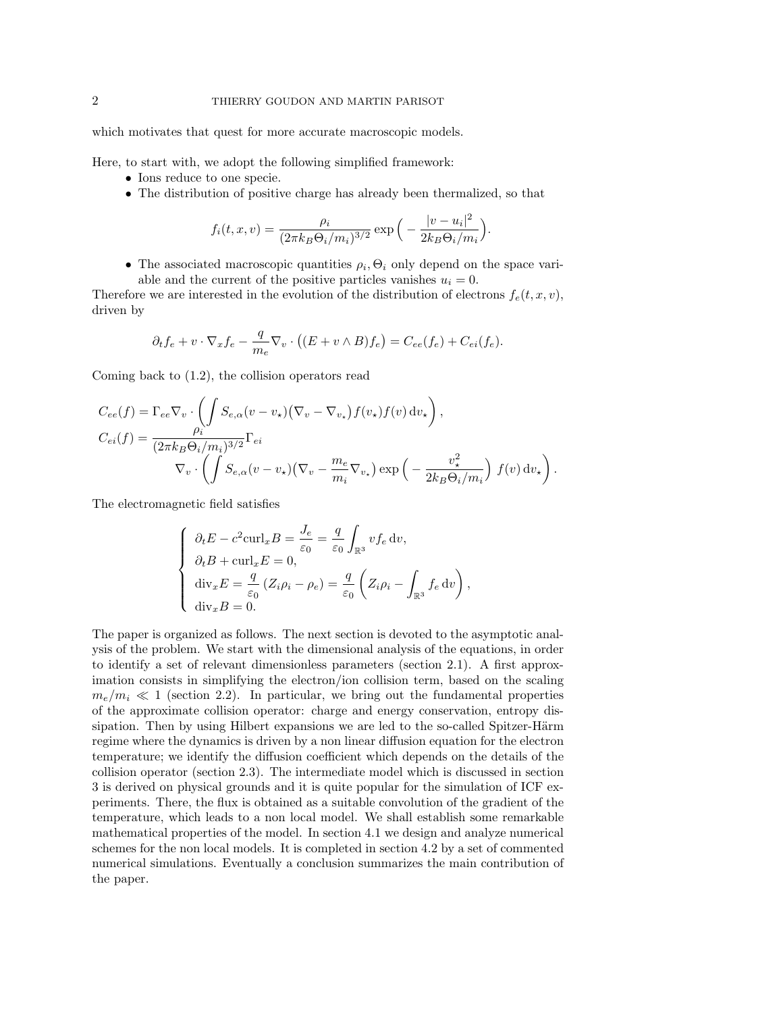which motivates that quest for more accurate macroscopic models.

Here, to start with, we adopt the following simplified framework:

- Ions reduce to one specie.
- *•* The distribution of positive charge has already been thermalized, so that

$$
f_i(t, x, v) = \frac{\rho_i}{(2\pi k_B \Theta_i/m_i)^{3/2}} \exp\Big(-\frac{|v - u_i|^2}{2k_B \Theta_i/m_i}\Big).
$$

• The associated macroscopic quantities  $\rho_i$ ,  $\Theta_i$  only depend on the space variable and the current of the positive particles vanishes  $u_i = 0$ .

Therefore we are interested in the evolution of the distribution of electrons  $f_e(t, x, v)$ , driven by

$$
\partial_t f_e + v \cdot \nabla_x f_e - \frac{q}{m_e} \nabla_v \cdot ((E + v \wedge B) f_e) = C_{ee}(f_e) + C_{ei}(f_e).
$$

Coming back to (1.2), the collision operators read

$$
C_{ee}(f) = \Gamma_{ee}\nabla_v \cdot \left(\int S_{e,\alpha}(v - v_\star) (\nabla_v - \nabla_{v_\star}) f(v_\star) f(v) dv_\star\right),
$$
  
\n
$$
C_{ei}(f) = \frac{\rho_i}{(2\pi k_B \Theta_i/m_i)^{3/2}} \Gamma_{ei}
$$
  
\n
$$
\nabla_v \cdot \left(\int S_{e,\alpha}(v - v_\star) (\nabla_v - \frac{m_e}{m_i} \nabla_{v_\star}) \exp\left(-\frac{v_\star^2}{2k_B \Theta_i/m_i}\right) f(v) dv_\star\right).
$$

The electromagnetic field satisfies

$$
\begin{cases}\n\partial_t E - c^2 \text{curl}_x B = \frac{J_e}{\varepsilon_0} = \frac{q}{\varepsilon_0} \int_{\mathbb{R}^3} v f_e \, dv, \\
\partial_t B + \text{curl}_x E = 0, \\
\text{div}_x E = \frac{q}{\varepsilon_0} \left( Z_i \rho_i - \rho_e \right) = \frac{q}{\varepsilon_0} \left( Z_i \rho_i - \int_{\mathbb{R}^3} f_e \, dv \right), \\
\text{div}_x B = 0.\n\end{cases}
$$

The paper is organized as follows. The next section is devoted to the asymptotic analysis of the problem. We start with the dimensional analysis of the equations, in order to identify a set of relevant dimensionless parameters (section 2.1). A first approximation consists in simplifying the electron/ion collision term, based on the scaling  $m_e/m_i \ll 1$  (section 2.2). In particular, we bring out the fundamental properties of the approximate collision operator: charge and energy conservation, entropy dissipation. Then by using Hilbert expansions we are led to the so-called Spitzer-Härm regime where the dynamics is driven by a non linear diffusion equation for the electron temperature; we identify the diffusion coefficient which depends on the details of the collision operator (section 2.3). The intermediate model which is discussed in section 3 is derived on physical grounds and it is quite popular for the simulation of ICF experiments. There, the flux is obtained as a suitable convolution of the gradient of the temperature, which leads to a non local model. We shall establish some remarkable mathematical properties of the model. In section 4.1 we design and analyze numerical schemes for the non local models. It is completed in section 4.2 by a set of commented numerical simulations. Eventually a conclusion summarizes the main contribution of the paper.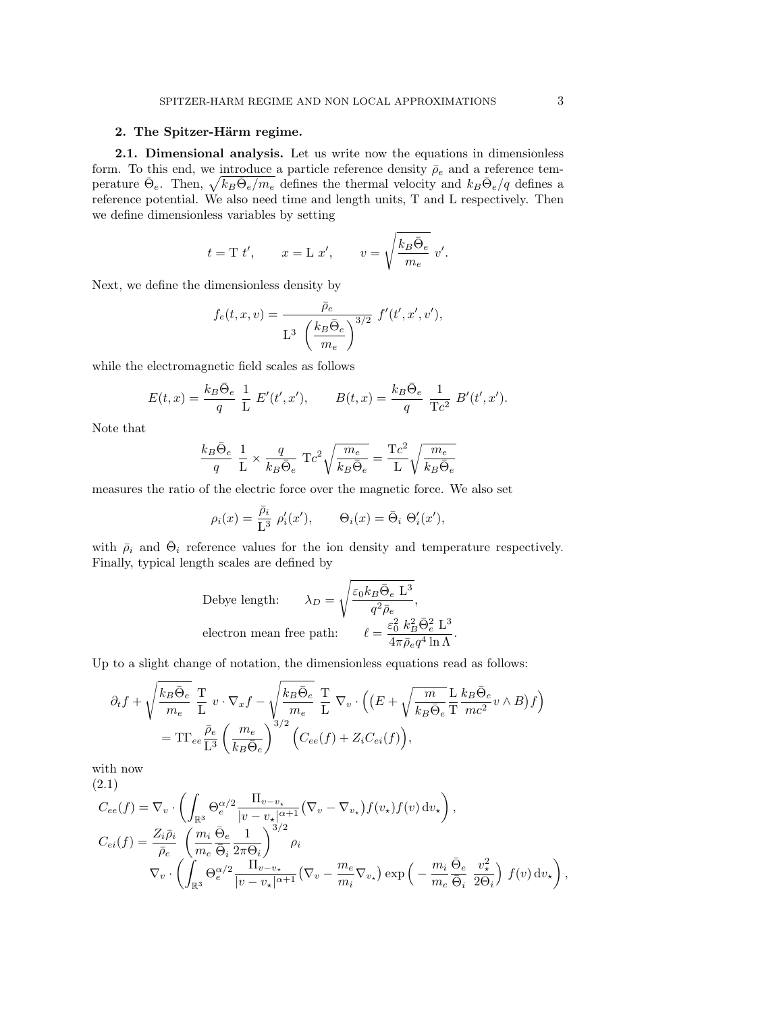## 2. The Spitzer-Härm regime.

2.1. Dimensional analysis. Let us write now the equations in dimensionless form. To this end, we introduce a particle reference density  $\bar{\rho}_e$  and a reference temperature  $\bar{\Theta}_e$ . Then,  $\sqrt{k_B \bar{\Theta}_e/m_e}$  defines the thermal velocity and  $k_B \bar{\Theta}_e/q$  defines a reference potential. We also need time and length units, T and L respectively. Then we define dimensionless variables by setting

$$
t = T t'
$$
,  $x = L x'$ ,  $v = \sqrt{\frac{k_B \overline{Q}_e}{m_e}} v'$ .

Next, we define the dimensionless density by

$$
f_e(t, x, v) = \frac{\overline{\rho}_e}{L^3 \left(\frac{k_B \overline{\Theta}_e}{m_e}\right)^{3/2}} f'(t', x', v'),
$$

while the electromagnetic field scales as follows

$$
E(t,x) = \frac{k_B \bar{\Theta}_e}{q} \frac{1}{L} E'(t',x'), \qquad B(t,x) = \frac{k_B \bar{\Theta}_e}{q} \frac{1}{Tc^2} B'(t',x').
$$

Note that

$$
\frac{k_B\bar{\Theta}_e}{q}\ \frac{1}{\mathcal{L}}\times\frac{q}{k_B\bar{\Theta}_e}\ \mathrm{T}c^2\sqrt{\frac{m_e}{k_B\bar{\Theta}_e}}=\frac{\mathrm{T}c^2}{\mathcal{L}}\sqrt{\frac{m_e}{k_B\bar{\Theta}_e}}
$$

measures the ratio of the electric force over the magnetic force. We also set

$$
\rho_i(x) = \frac{\bar{\rho}_i}{L^3} \rho'_i(x'), \qquad \Theta_i(x) = \bar{\Theta}_i \Theta'_i(x'),
$$

with  $\bar{\rho}_i$  and  $\bar{\Theta}_i$  reference values for the ion density and temperature respectively. Finally, typical length scales are defined by

$$
\begin{aligned} \text{Debye length:} \qquad \lambda_D &= \sqrt{\frac{\varepsilon_0 k_B \bar{\Theta}_e \ \textbf{L}^3}{q^2 \bar{\rho}_e}}, \\ \text{electron mean free path:} \qquad \ell = \frac{\varepsilon_0^2 \ k_B^2 \bar{\Theta}_e^2 \ \textbf{L}^3}{4 \pi \bar{\rho}_e q^4 \ln \Lambda}. \end{aligned}
$$

Up to a slight change of notation, the dimensionless equations read as follows:

$$
\partial_t f + \sqrt{\frac{k_B \bar{\Theta}_e}{m_e}} \frac{T}{L} v \cdot \nabla_x f - \sqrt{\frac{k_B \bar{\Theta}_e}{m_e}} \frac{T}{L} \nabla_v \cdot \left( \left( E + \sqrt{\frac{m}{k_B \bar{\Theta}_e}} \frac{L}{T} \frac{k_B \bar{\Theta}_e}{m c^2} v \wedge B \right) f \right)
$$
  
=  $TT_{ee} \frac{\bar{\rho}_e}{L^3} \left( \frac{m_e}{k_B \bar{\Theta}_e} \right)^{3/2} \left( C_{ee}(f) + Z_i C_{ei}(f) \right),$ 

with now (2.1)

$$
C_{ee}(f) = \nabla_v \cdot \left( \int_{\mathbb{R}^3} \Theta_e^{\alpha/2} \frac{\Pi_{v-v_\star}}{|v - v_\star|^{\alpha+1}} (\nabla_v - \nabla_{v_\star}) f(v_\star) f(v) dv_\star \right),
$$
  
\n
$$
C_{ei}(f) = \frac{Z_i \bar{\rho}_i}{\bar{\rho}_e} \left( \frac{m_i}{m_e} \frac{\bar{\Theta}_e}{\bar{\Theta}_i} \frac{1}{2\pi \Theta_i} \right)^{3/2} \rho_i
$$
  
\n
$$
\nabla_v \cdot \left( \int_{\mathbb{R}^3} \Theta_e^{\alpha/2} \frac{\Pi_{v-v_\star}}{|v - v_\star|^{\alpha+1}} (\nabla_v - \frac{m_e}{m_i} \nabla_{v_\star}) \exp\left( -\frac{m_i}{m_e} \frac{\bar{\Theta}_e}{\bar{\Theta}_i} \frac{v_\star^2}{2\Theta_i} \right) f(v) dv_\star \right),
$$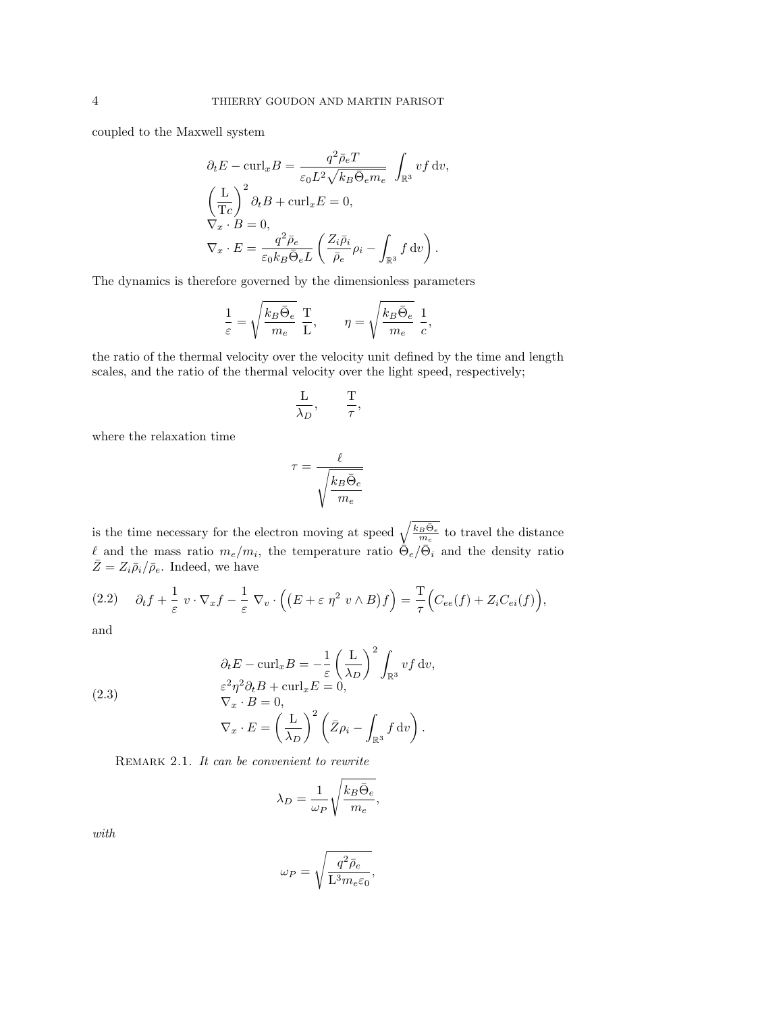coupled to the Maxwell system

$$
\partial_t E - \text{curl}_x B = \frac{q^2 \bar{\rho}_e T}{\varepsilon_0 L^2 \sqrt{k_B \bar{\Theta}_e m_e}} \int_{\mathbb{R}^3} v f dv,
$$

$$
\left(\frac{\text{L}}{\text{T}c}\right)^2 \partial_t B + \text{curl}_x E = 0,
$$

$$
\nabla_x \cdot B = 0,
$$

$$
\nabla_x \cdot E = \frac{q^2 \bar{\rho}_e}{\varepsilon_0 k_B \bar{\Theta}_e L} \left(\frac{Z_i \bar{\rho}_i}{\bar{\rho}_e} \rho_i - \int_{\mathbb{R}^3} f dv\right).
$$

The dynamics is therefore governed by the dimensionless parameters

$$
\frac{1}{\varepsilon} = \sqrt{\frac{k_B \bar{\Theta}_e}{m_e}} \ \frac{\text{T}}{\text{L}}, \qquad \eta = \sqrt{\frac{k_B \bar{\Theta}_e}{m_e}} \ \frac{1}{c},
$$

the ratio of the thermal velocity over the velocity unit defined by the time and length scales, and the ratio of the thermal velocity over the light speed, respectively;

$$
\frac{\mathcal{L}}{\lambda_D}, \qquad \frac{\mathcal{T}}{\tau},
$$

where the relaxation time

$$
\tau = \frac{\ell}{\sqrt{\frac{k_B \bar{\Theta}_e}{m_e}}}
$$

is the time necessary for the electron moving at speed  $\sqrt{\frac{k_B \bar{\Theta}_e}{m_e}}$  to travel the distance l and the mass ratio  $m_e/m_i$ , the temperature ratio  $\dot{\Theta}_e/\bar{\Theta}_i$  and the density ratio  $\overline{Z} = Z_i \overline{\rho}_i / \overline{\rho}_e$ . Indeed, we have

$$
(2.2) \quad \partial_t f + \frac{1}{\varepsilon} \ v \cdot \nabla_x f - \frac{1}{\varepsilon} \ \nabla_v \cdot \Big( \big( E + \varepsilon \ \eta^2 \ v \wedge B \big) f \Big) = \frac{T}{\tau} \Big( C_{ee}(f) + Z_i C_{ei}(f) \Big),
$$

and

(2.3)  
\n
$$
\partial_t E - \text{curl}_x B = -\frac{1}{\varepsilon} \left( \frac{\mathcal{L}}{\lambda_D} \right)^2 \int_{\mathbb{R}^3} v f dv,
$$
\n
$$
\varepsilon^2 \eta^2 \partial_t B + \text{curl}_x E = 0,
$$
\n
$$
\nabla_x \cdot B = 0,
$$
\n
$$
\nabla_x \cdot E = \left( \frac{\mathcal{L}}{\lambda_D} \right)^2 \left( \bar{Z} \rho_i - \int_{\mathbb{R}^3} f dv \right).
$$

Remark 2.1. *It can be convenient to rewrite*

$$
\lambda_D = \frac{1}{\omega_P} \sqrt{\frac{k_B \bar{\Theta}_e}{m_e}},
$$

*with*

$$
\omega_P=\sqrt{\frac{q^2\bar{\rho}_e}{\mathcal{L}^3m_e\varepsilon_0}},
$$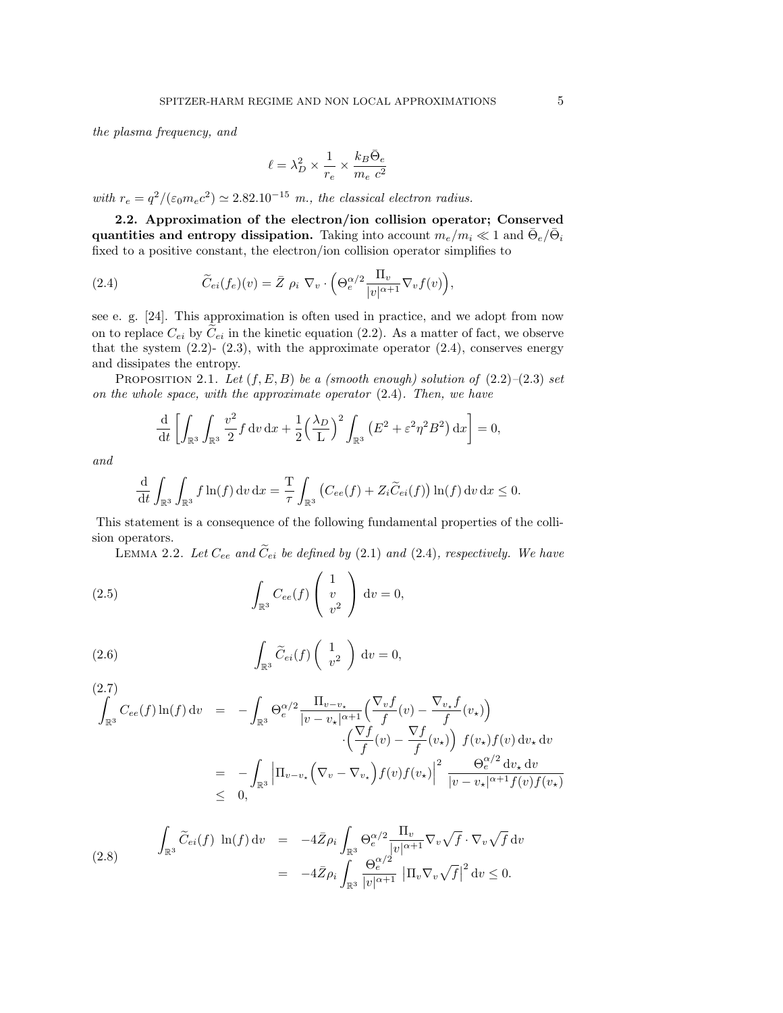*the plasma frequency, and*

$$
\ell = \lambda_D^2 \times \frac{1}{r_e} \times \frac{k_B \bar{\Theta}_e}{m_e ~c^2}
$$

*with*  $r_e = q^2/(\varepsilon_0 m_e c^2) \simeq 2.82.10^{-15}$  *m., the classical electron radius.* 

2.2. Approximation of the electron/ion collision operator; Conserved quantities and entropy dissipation. Taking into account  $m_e/m_i \ll 1$  and  $\Theta_e/\Theta_i$ fixed to a positive constant, the electron/ion collision operator simplifies to

(2.4) 
$$
\widetilde{C}_{ei}(f_e)(v) = \bar{Z} \; \rho_i \; \nabla_v \cdot \left(\Theta_e^{\alpha/2} \frac{\Pi_v}{|v|^{\alpha+1}} \nabla_v f(v)\right),
$$

see e. g. [24]. This approximation is often used in practice, and we adopt from now on to replace  $C_{ei}$  by  $C_{ei}$  in the kinetic equation (2.2). As a matter of fact, we observe that the system  $(2.2)$ -  $(2.3)$ , with the approximate operator  $(2.4)$ , conserves energy and dissipates the entropy.

PROPOSITION 2.1. *Let*  $(f, E, B)$  *be a (smooth enough) solution of*  $(2.2)–(2.3)$  *set on the whole space, with the approximate operator* (2.4)*. Then, we have*

$$
\frac{\mathrm{d}}{\mathrm{d}t} \left[ \int_{\mathbb{R}^3} \int_{\mathbb{R}^3} \frac{v^2}{2} f \, \mathrm{d}v \, \mathrm{d}x + \frac{1}{2} \left( \frac{\lambda_D}{L} \right)^2 \int_{\mathbb{R}^3} \left( E^2 + \varepsilon^2 \eta^2 B^2 \right) \mathrm{d}x \right] = 0,
$$

*and*

$$
\frac{\mathrm{d}}{\mathrm{d}t} \int_{\mathbb{R}^3} \int_{\mathbb{R}^3} f \ln(f) \, \mathrm{d}v \, \mathrm{d}x = \frac{T}{\tau} \int_{\mathbb{R}^3} \left( C_{ee}(f) + Z_i \widetilde{C}_{ei}(f) \right) \ln(f) \, \mathrm{d}v \, \mathrm{d}x \le 0.
$$

This statement is a consequence of the following fundamental properties of the collision operators.

LEMMA 2.2. Let  $C_{ee}$  and  $\tilde{C}_{ei}$  be defined by (2.1) and (2.4), respectively. We have

(2.5) 
$$
\int_{\mathbb{R}^3} C_{ee}(f) \begin{pmatrix} 1 \\ v \\ v^2 \end{pmatrix} dv = 0,
$$

(2.6) 
$$
\int_{\mathbb{R}^3} \widetilde{C}_{ei}(f) \begin{pmatrix} 1 \\ v^2 \end{pmatrix} dv = 0,
$$

$$
(2.7)
$$
\n
$$
\int_{\mathbb{R}^3} C_{ee}(f) \ln(f) dv = - \int_{\mathbb{R}^3} \Theta_e^{\alpha/2} \frac{\Pi_{v-v_\star}}{|v-v_\star|^{\alpha+1}} \left( \frac{\nabla_v f}{f}(v) - \frac{\nabla_{v_\star} f}{f}(v_\star) \right)
$$
\n
$$
\cdot \left( \frac{\nabla f}{f}(v) - \frac{\nabla f}{f}(v_\star) \right) f(v_\star) f(v) dv_\star dv
$$
\n
$$
= - \int_{\mathbb{R}^3} \left| \Pi_{v-v_\star} \left( \nabla_v - \nabla_{v_\star} \right) f(v) f(v_\star) \right|^2 \frac{\Theta_e^{\alpha/2} dv_\star dv}{|v-v_\star|^{\alpha+1} f(v) f(v_\star)}
$$
\n
$$
\leq 0,
$$

(2.8) 
$$
\int_{\mathbb{R}^3} \widetilde{C}_{ei}(f) \ln(f) dv = -4\overline{Z}\rho_i \int_{\mathbb{R}^3} \Theta_e^{\alpha/2} \frac{\Pi_v}{|v|^{\alpha+1}} \nabla_v \sqrt{f} \cdot \nabla_v \sqrt{f} dv
$$

$$
= -4\overline{Z}\rho_i \int_{\mathbb{R}^3} \frac{\Theta_e^{\alpha/2}}{|v|^{\alpha+1}} |\Pi_v \nabla_v \sqrt{f}|^2 dv \le 0.
$$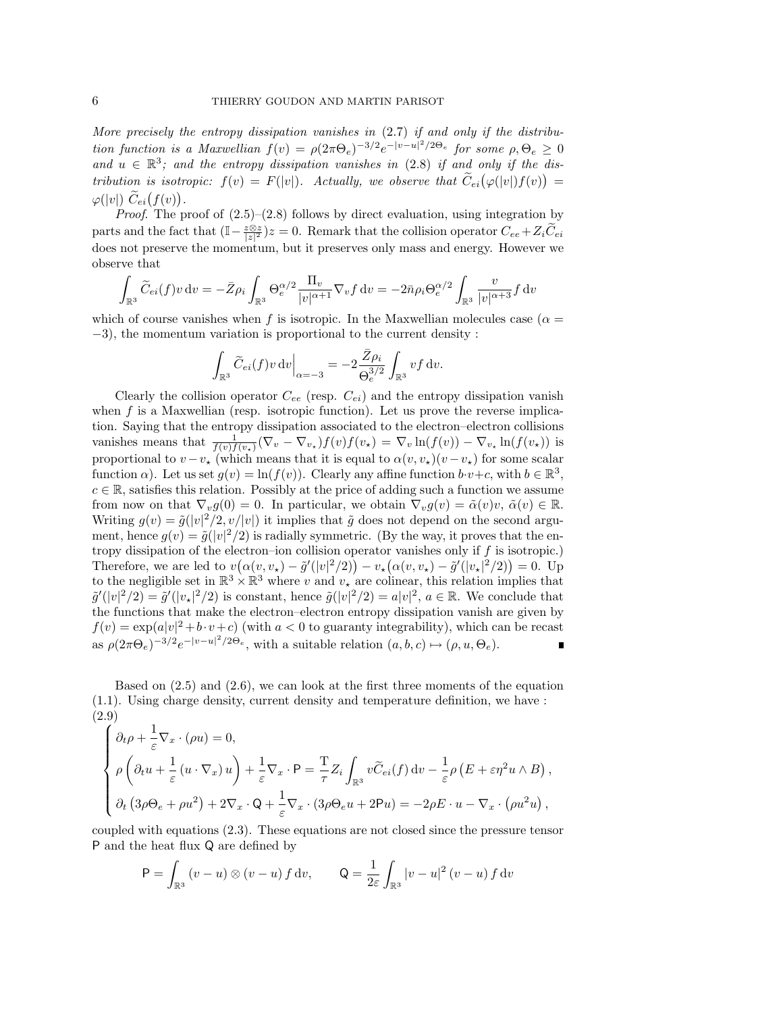*More precisely the entropy dissipation vanishes in* (2.7) *if and only if the distribution function is a Maxwellian*  $f(v) = \rho(2\pi\Theta_e)^{-3/2}e^{-|v-u|^2/2\Theta_e}$  for some  $\rho, \Theta_e \ge 0$ and  $u \in \mathbb{R}^3$ ; and the entropy dissipation vanishes in (2.8) if and only if the dis*tribution is isotropic:*  $f(v) = F(|v|)$ . Actually, we observe that  $\widetilde{C}_{ei}(\varphi(|v|)f(v)) =$  $\varphi(|v|) \ \widetilde{C}_{ei}(f(v)).$ 

*Proof.* The proof of  $(2.5)$ – $(2.8)$  follows by direct evaluation, using integration by parts and the fact that  $(\mathbb{I} - \frac{z \otimes z}{|z|^2})z = 0$ . Remark that the collision operator  $C_{ee} + Z_i \tilde{C}_{ei}$ does not preserve the momentum, but it preserves only mass and energy. However we observe that

$$
\int_{\mathbb{R}^3} \widetilde{C}_{ei}(f) v dv = -\bar{Z}\rho_i \int_{\mathbb{R}^3} \Theta_e^{\alpha/2} \frac{\Pi_v}{|v|^{\alpha+1}} \nabla_v f dv = -2\bar{n}\rho_i \Theta_e^{\alpha/2} \int_{\mathbb{R}^3} \frac{v}{|v|^{\alpha+3}} f dv
$$

which of course vanishes when f is isotropic. In the Maxwellian molecules case ( $\alpha =$  $-3$ , the momentum variation is proportional to the current density :

$$
\int_{\mathbb{R}^3} \widetilde{C}_{ei}(f) v \, dv \Big|_{\alpha = -3} = -2 \frac{\overline{Z} \rho_i}{\Theta_e^{3/2}} \int_{\mathbb{R}^3} v f \, dv.
$$

Clearly the collision operator  $C_{ee}$  (resp.  $C_{ei}$ ) and the entropy dissipation vanish when *f* is a Maxwellian (resp. isotropic function). Let us prove the reverse implication. Saying that the entropy dissipation associated to the electron–electron collisions vanishes means that  $\frac{1}{f(v)f(v_*)}(\nabla_v - \nabla_{v_*})f(v)f(v_*) = \nabla_v \ln(f(v)) - \nabla_{v_*} \ln(f(v_*))$  is proportional to  $v - v_{\star}$  (which means that it is equal to  $\alpha(v, v_{\star})(v - v_{\star})$  for some scalar function  $\alpha$ ). Let us set  $g(v) = \ln(f(v))$ . Clearly any affine function  $b \cdot v + c$ , with  $b \in \mathbb{R}^3$ ,  $c \in \mathbb{R}$ , satisfies this relation. Possibly at the price of adding such a function we assume from now on that  $\nabla_v g(0) = 0$ . In particular, we obtain  $\nabla_v g(v) = \tilde{\alpha}(v)v, \tilde{\alpha}(v) \in \mathbb{R}$ . Writing  $g(v) = \tilde{g}(|v|^2/2, v/|v|)$  it implies that  $\tilde{g}$  does not depend on the second argument, hence  $g(v) = \tilde{g}(|v|^2/2)$  is radially symmetric. (By the way, it proves that the entropy dissipation of the electron–ion collision operator vanishes only if *f* is isotropic.) Therefore, we are led to  $v(\alpha(v, v_*) - \tilde{g}'(|v|^2/2)) - v_*(\alpha(v, v_*) - \tilde{g}'(|v_*|^2/2)) = 0.$  Up to the negligible set in  $\mathbb{R}^3 \times \mathbb{R}^3$  where *v* and  $v_*$  are colinear, this relation implies that  $\tilde{g}'(|v|^2/2) = \tilde{g}'(|v_*|^2/2)$  is constant, hence  $\tilde{g}(|v|^2/2) = a|v|^2$ ,  $a \in \mathbb{R}$ . We conclude that the functions that make the electron–electron entropy dissipation vanish are given by  $f(v) = \exp(a|v|^2 + b \cdot v + c)$  (with  $a < 0$  to guaranty integrability), which can be recast as  $\rho(2\pi\Theta_e)^{-3/2}e^{-|v-u|^2/2\Theta_e}$ , with a suitable relation  $(a, b, c) \mapsto (\rho, u, \Theta_e)$ . Г

Based on  $(2.5)$  and  $(2.6)$ , we can look at the first three moments of the equation (1.1). Using charge density, current density and temperature definition, we have : (2.9)

$$
\begin{cases}\n\partial_t \rho + \frac{1}{\varepsilon} \nabla_x \cdot (\rho u) = 0, \\
\rho \left( \partial_t u + \frac{1}{\varepsilon} \left( u \cdot \nabla_x \right) u \right) + \frac{1}{\varepsilon} \nabla_x \cdot \mathsf{P} = \frac{\mathsf{T}}{\tau} Z_i \int_{\mathbb{R}^3} v \widetilde{C}_{ei}(f) dv - \frac{1}{\varepsilon} \rho \left( E + \varepsilon \eta^2 u \wedge B \right), \\
\partial_t \left( 3\rho \Theta_e + \rho u^2 \right) + 2 \nabla_x \cdot \mathsf{Q} + \frac{1}{\varepsilon} \nabla_x \cdot (3\rho \Theta_e u + 2 \mathsf{P} u) = -2\rho E \cdot u - \nabla_x \cdot (\rho u^2 u),\n\end{cases}
$$

coupled with equations (2.3). These equations are not closed since the pressure tensor P and the heat flux Q are defined by

$$
\mathsf{P} = \int_{\mathbb{R}^3} (v - u) \otimes (v - u) f \, \mathrm{d}v, \qquad \mathsf{Q} = \frac{1}{2\varepsilon} \int_{\mathbb{R}^3} |v - u|^2 (v - u) f \, \mathrm{d}v
$$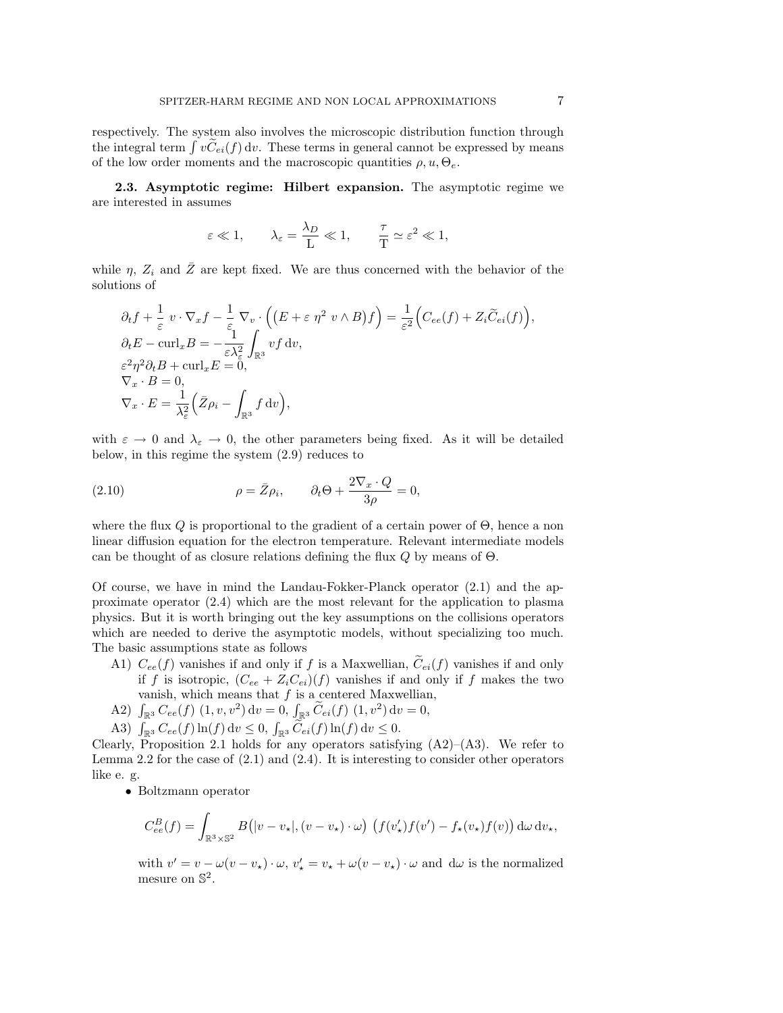respectively. The system also involves the microscopic distribution function through the integral term  $\int v\tilde{C}_{ei}(f) dv$ . These terms in general cannot be expressed by means of the low order moments and the macroscopic quantities  $\rho, u, \Theta_e$ .

2.3. Asymptotic regime: Hilbert expansion. The asymptotic regime we are interested in assumes

$$
\varepsilon \ll 1
$$
,  $\lambda_{\varepsilon} = \frac{\lambda_D}{L} \ll 1$ ,  $\frac{\tau}{T} \simeq \varepsilon^2 \ll 1$ ,

while  $\eta$ ,  $Z_i$  and  $\overline{Z}$  are kept fixed. We are thus concerned with the behavior of the solutions of

$$
\partial_t f + \frac{1}{\varepsilon} v \cdot \nabla_x f - \frac{1}{\varepsilon} \nabla_v \cdot \left( (E + \varepsilon \eta^2 v \wedge B) f \right) = \frac{1}{\varepsilon^2} \Big( C_{ee}(f) + Z_i \widetilde{C}_{ei}(f) \Big),
$$
  
\n
$$
\partial_t E - \text{curl}_x B = -\frac{1}{\varepsilon \lambda_\varepsilon^2} \int_{\mathbb{R}^3} v f \, dv,
$$
  
\n
$$
\varepsilon^2 \eta^2 \partial_t B + \text{curl}_x E = 0,
$$
  
\n
$$
\nabla_x \cdot B = 0,
$$
  
\n
$$
\nabla_x \cdot E = \frac{1}{\lambda_\varepsilon^2} \Big( \bar{Z} \rho_i - \int_{\mathbb{R}^3} f \, dv \Big),
$$

with  $\varepsilon \to 0$  and  $\lambda_{\varepsilon} \to 0$ , the other parameters being fixed. As it will be detailed below, in this regime the system (2.9) reduces to

(2.10) 
$$
\rho = \bar{Z}\rho_i, \qquad \partial_t \Theta + \frac{2\nabla_x \cdot Q}{3\rho} = 0,
$$

where the flux  $Q$  is proportional to the gradient of a certain power of  $\Theta$ , hence a non linear diffusion equation for the electron temperature. Relevant intermediate models can be thought of as closure relations defining the flux  $Q$  by means of  $\Theta$ .

Of course, we have in mind the Landau-Fokker-Planck operator (2.1) and the approximate operator (2.4) which are the most relevant for the application to plasma physics. But it is worth bringing out the key assumptions on the collisions operators which are needed to derive the asymptotic models, without specializing too much. The basic assumptions state as follows

- A1)  $C_{ee}(f)$  vanishes if and only if f is a Maxwellian,  $\widetilde{C}_{ei}(f)$  vanishes if and only if *f* is isotropic,  $(C_{ee} + Z_iC_{ei})(f)$  vanishes if and only if *f* makes the two vanish, which means that  $f$  is a centered Maxwellian,
- A2)  $\int_{\mathbb{R}^3} C_{ee}(f) (1, v, v^2) dv = 0$ ,  $\int_{\mathbb{R}^3} \widetilde{C}_{ei}(f) (1, v^2) dv = 0$ ,
- A3)  $\int_{\mathbb{R}^3} C_{ee}(f) \ln(f) dv \leq 0$ ,  $\int_{\mathbb{R}^3} \widetilde{C}_{ei}(f) \ln(f) dv \leq 0$ .

Clearly, Proposition 2.1 holds for any operators satisfying  $(A2)$ – $(A3)$ . We refer to Lemma 2.2 for the case of  $(2.1)$  and  $(2.4)$ . It is interesting to consider other operators like e. g.

*•* Boltzmann operator

$$
C_{ee}^B(f) = \int_{\mathbb{R}^3 \times \mathbb{S}^2} B(|v - v_\star|, (v - v_\star) \cdot \omega) \left( f(v_\star') f(v') - f_\star(v_\star) f(v) \right) d\omega \, dv_\star,
$$

with  $v' = v - \omega(v - v_\star) \cdot \omega$ ,  $v'_\star = v_\star + \omega(v - v_\star) \cdot \omega$  and  $d\omega$  is the normalized mesure on  $\mathbb{S}^2$ .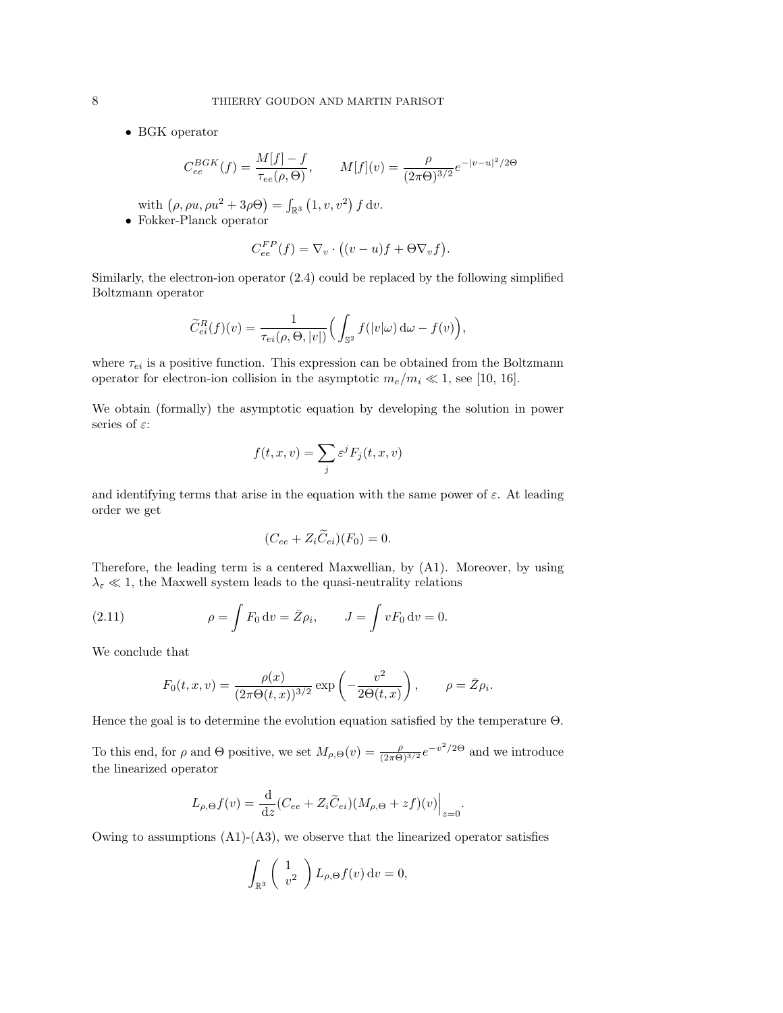*•* BGK operator

$$
C_{ee}^{BGK}(f) = \frac{M[f] - f}{\tau_{ee}(\rho, \Theta)}, \qquad M[f](v) = \frac{\rho}{(2\pi\Theta)^{3/2}} e^{-|v - u|^2/2\Theta}
$$

with  $(\rho, \rho u, \rho u^2 + 3\rho \Theta) = \int_{\mathbb{R}^3} (1, v, v^2) f dv.$ 

*•* Fokker-Planck operator

$$
C_{ee}^{FP}(f) = \nabla_v \cdot ((v - u)f + \Theta \nabla_v f).
$$

Similarly, the electron-ion operator (2.4) could be replaced by the following simplified Boltzmann operator

$$
\widetilde{C}_{ei}^R(f)(v) = \frac{1}{\tau_{ei}(\rho,\Theta,|v|)} \Big(\int_{\mathbb{S}^2} f(|v|\omega) \,d\omega - f(v)\Big),\,
$$

where  $\tau_{ei}$  is a positive function. This expression can be obtained from the Boltzmann operator for electron-ion collision in the asymptotic  $m_e/m_i \ll 1$ , see [10, 16].

We obtain (formally) the asymptotic equation by developing the solution in power series of  $\varepsilon$ :

$$
f(t, x, v) = \sum_{j} \varepsilon^{j} F_{j}(t, x, v)
$$

and identifying terms that arise in the equation with the same power of  $\varepsilon$ . At leading order we get

$$
(C_{ee} + Z_i \widetilde{C}_{ei})(F_0) = 0.
$$

Therefore, the leading term is a centered Maxwellian, by (A1). Moreover, by using  $\lambda_\varepsilon\ll 1,$  the Maxwell system leads to the quasi-neutrality relations

(2.11) 
$$
\rho = \int F_0 dv = \bar{Z} \rho_i, \qquad J = \int v F_0 dv = 0.
$$

We conclude that

$$
F_0(t, x, v) = \frac{\rho(x)}{(2\pi\Theta(t, x))^{3/2}} \exp\left(-\frac{v^2}{2\Theta(t, x)}\right), \qquad \rho = \bar{Z}\rho_i.
$$

Hence the goal is to determine the evolution equation satisfied by the temperature  $\Theta$ .

To this end, for  $\rho$  and  $\Theta$  positive, we set  $M_{\rho,\Theta}(v) = \frac{\rho}{(2\pi\Theta)^{3/2}} e^{-v^2/2\Theta}$  and we introduce the linearized operator

$$
L_{\rho,\Theta}f(v) = \frac{\mathrm{d}}{\mathrm{d}z}(C_{ee} + Z_i \widetilde{C}_{ei})(M_{\rho,\Theta} + zf)(v)\Big|_{z=0}.
$$

Owing to assumptions  $(A1)$ - $(A3)$ , we observe that the linearized operator satisfies

$$
\int_{\mathbb{R}^3} \left( \begin{array}{c} 1 \\ v^2 \end{array} \right) L_{\rho,\Theta} f(v) dv = 0,
$$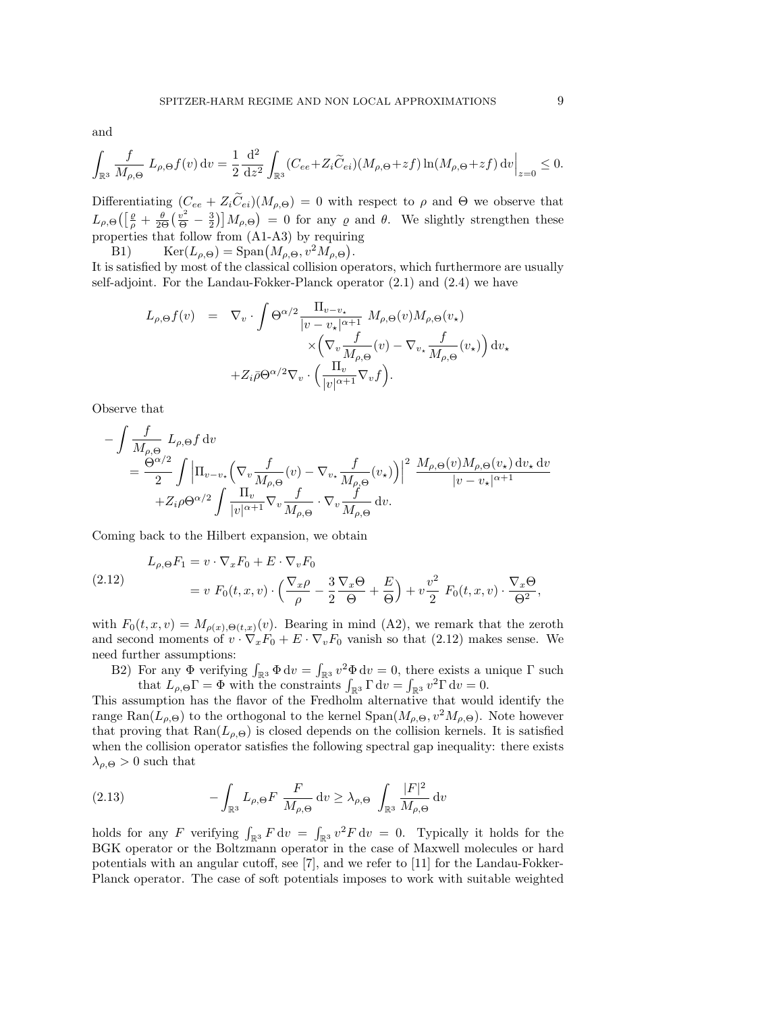and

$$
\int_{\mathbb{R}^3}\frac{f}{M_{\rho,\Theta}}\,L_{\rho,\Theta}f(v)\,\mathrm{d} v=\frac{1}{2}\frac{\,\mathrm{d}^2}{\,\mathrm{d} z^2}\int_{\mathbb{R}^3}(C_{ee}+Z_i\widetilde C_{ei})(M_{\rho,\Theta}+zf)\ln(M_{\rho,\Theta}+zf)\,\mathrm{d} v\Big|_{z=0}\leq 0.
$$

Differentiating  $(C_{ee} + Z_i \tilde{C}_{ei})(M_{\rho,\Theta}) = 0$  with respect to  $\rho$  and  $\Theta$  we observe that  $L_{\rho,\Theta}\left(\left[\frac{\rho}{\rho}+\frac{\theta}{2\Theta}\left(\frac{v^2}{\Theta}-\frac{3}{2}\right)\right]M_{\rho,\Theta}\right) = 0$  for any  $\rho$  and  $\theta$ . We slightly strengthen these properties that follow from (A1-A3) by requiring

B1)  $\text{Ker}(L_{\rho,\Theta}) = \text{Span}(M_{\rho,\Theta}, v^2 M_{\rho,\Theta}).$ 

It is satisfied by most of the classical collision operators, which furthermore are usually self-adjoint. For the Landau-Fokker-Planck operator (2.1) and (2.4) we have

$$
L_{\rho,\Theta}f(v) = \nabla_v \cdot \int \Theta^{\alpha/2} \frac{\Pi_{v-v_{\star}}}{|v-v_{\star}|^{\alpha+1}} M_{\rho,\Theta}(v) M_{\rho,\Theta}(v_{\star})
$$
  
\n
$$
\times \left( \nabla_v \frac{f}{M_{\rho,\Theta}}(v) - \nabla_{v_{\star}} \frac{f}{M_{\rho,\Theta}}(v_{\star}) \right) dv_{\star}
$$
  
\n
$$
+ Z_i \bar{\rho} \Theta^{\alpha/2} \nabla_v \cdot \left( \frac{\Pi_v}{|v|^{\alpha+1}} \nabla_v f \right).
$$

Observe that

$$
\begin{split} &-\int \frac{f}{M_{\rho,\Theta}}\, L_{\rho,\Theta} f \, \mathrm{d} v \\ & = \frac{\Theta^{\alpha/2}}{2} \int \Big|\Pi_{v-v_\star} \Big(\nabla_v \frac{f}{M_{\rho,\Theta}}(v) - \nabla_{v_\star} \frac{f}{M_{\rho,\Theta}}(v_\star)\Big)\Big|^2\, \frac{M_{\rho,\Theta}(v) M_{\rho,\Theta}(v_\star) \, \mathrm{d} v_\star \, \mathrm{d} v}{|v-v_\star|^{\alpha+1}} \\ & \quad + Z_i \rho \Theta^{\alpha/2} \int \frac{\Pi_v}{|v|^{\alpha+1}} \nabla_v \frac{f}{M_{\rho,\Theta}} \cdot \nabla_v \frac{f}{M_{\rho,\Theta}} \, \mathrm{d} v. \end{split}
$$

Coming back to the Hilbert expansion, we obtain

(2.12) 
$$
L_{\rho,\Theta}F_1 = v \cdot \nabla_x F_0 + E \cdot \nabla_v F_0
$$

$$
= v F_0(t, x, v) \cdot \left(\frac{\nabla_x \rho}{\rho} - \frac{3}{2} \frac{\nabla_x \Theta}{\Theta} + \frac{E}{\Theta}\right) + v \frac{v^2}{2} F_0(t, x, v) \cdot \frac{\nabla_x \Theta}{\Theta^2},
$$

with  $F_0(t, x, v) = M_{\rho(x), \Theta(t, x)}(v)$ . Bearing in mind (A2), we remark that the zeroth and second moments of  $v \cdot \nabla_x F_0 + E \cdot \nabla_v F_0$  vanish so that (2.12) makes sense. We need further assumptions:

B2) For any  $\Phi$  verifying  $\int_{\mathbb{R}^3} \Phi dv = \int_{\mathbb{R}^3} v^2 \Phi dv = 0$ , there exists a unique  $\Gamma$  such that  $L_{\rho,\Theta} \Gamma = \Phi$  with the constraints  $\int_{\mathbb{R}^3} \Gamma dv = \int_{\mathbb{R}^3} v^2 \Gamma dv = 0.$ 

This assumption has the flavor of the Fredholm alternative that would identify the range Ran( $L_{\rho,\Theta}$ ) to the orthogonal to the kernel Span( $M_{\rho,\Theta}$ ,  $v^2 M_{\rho,\Theta}$ ). Note however that proving that  $\text{Ran}(L_{\rho,\Theta})$  is closed depends on the collision kernels. It is satisfied when the collision operator satisfies the following spectral gap inequality: there exists  $\lambda_{\rho,\Theta} > 0$  such that

(2.13) 
$$
- \int_{\mathbb{R}^3} L_{\rho,\Theta} F \frac{F}{M_{\rho,\Theta}} dv \ge \lambda_{\rho,\Theta} \int_{\mathbb{R}^3} \frac{|F|^2}{M_{\rho,\Theta}} dv
$$

holds for any *F* verifying  $\int_{\mathbb{R}^3} F \, dv = \int_{\mathbb{R}^3} v^2 F \, dv = 0$ . Typically it holds for the BGK operator or the Boltzmann operator in the case of Maxwell molecules or hard potentials with an angular cutoff, see  $[7]$ , and we refer to  $[11]$  for the Landau-Fokker-Planck operator. The case of soft potentials imposes to work with suitable weighted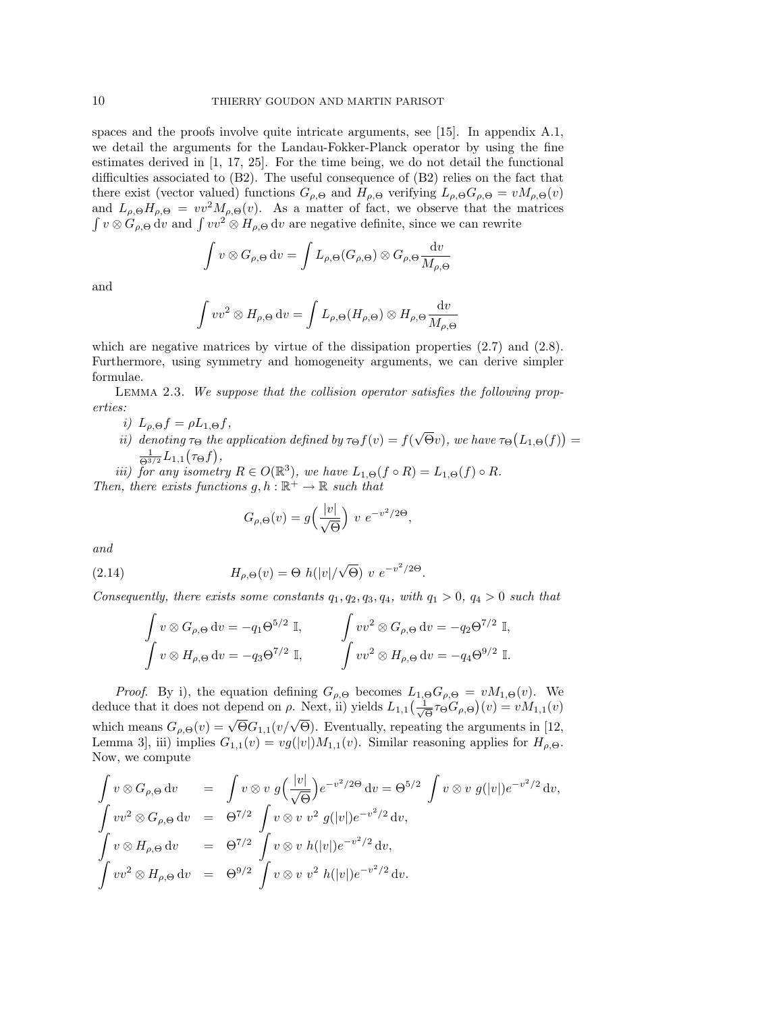spaces and the proofs involve quite intricate arguments, see [15]. In appendix A.1, we detail the arguments for the Landau-Fokker-Planck operator by using the fine estimates derived in [1, 17, 25]. For the time being, we do not detail the functional difficulties associated to  $(B2)$ . The useful consequence of  $(B2)$  relies on the fact that there exist (vector valued) functions  $G_{\rho,\Theta}$  and  $H_{\rho,\Theta}$  verifying  $L_{\rho,\Theta}G_{\rho,\Theta} = vM_{\rho,\Theta}(v)$ and  $L_{\rho,\Theta}H_{\rho,\Theta} = v v^2 M_{\rho,\Theta}(v)$ . As a matter of fact, we observe that the matrices  $\int v \otimes G_{\rho,\Theta} dv$  and  $\int vv^2 \otimes H_{\rho,\Theta} dv$  are negative definite, since we can rewrite

$$
\int v \otimes G_{\rho,\Theta} dv = \int L_{\rho,\Theta}(G_{\rho,\Theta}) \otimes G_{\rho,\Theta} \frac{dv}{M_{\rho,\Theta}}
$$

and

$$
\int vv^2 \otimes H_{\rho,\Theta} \, \mathrm{d}v = \int L_{\rho,\Theta}(H_{\rho,\Theta}) \otimes H_{\rho,\Theta} \frac{\mathrm{d}v}{M_{\rho,\Theta}}
$$

which are negative matrices by virtue of the dissipation properties  $(2.7)$  and  $(2.8)$ . Furthermore, using symmetry and homogeneity arguments, we can derive simpler formulae.

Lemma 2.3. *We suppose that the collision operator satisfies the following properties:*

- *i*)  $L_{\rho,\Theta} f = \rho L_{1,\Theta} f$ ,
- *ii*) denoting  $\tau_{\Theta}$  the application defined by  $\tau_{\Theta} f(v) = f(\sqrt{\Theta}v)$ , we have  $\tau_{\Theta}(L_{1,\Theta}(f)) =$  $\frac{1}{\Theta^{3/2}} L_{1,1}(\tau_{\Theta} f),$

*iii) for any isometry*  $R \in O(\mathbb{R}^3)$ *, we have*  $L_{1,\Theta}(f \circ R) = L_{1,\Theta}(f) \circ R$ *. Then, there exists functions*  $g, h : \mathbb{R}^+ \to \mathbb{R}$  *such that* 

$$
G_{\rho,\Theta}(v) = g\left(\frac{|v|}{\sqrt{\Theta}}\right) v e^{-v^2/2\Theta},
$$

*and*

(2.14) 
$$
H_{\rho,\Theta}(v) = \Theta \ h(|v|/\sqrt{\Theta}) \ v \ e^{-v^2/2\Theta}.
$$

*Consequently, there exists some constants*  $q_1, q_2, q_3, q_4$ *, with*  $q_1 > 0$ *,*  $q_4 > 0$  *such that* 

$$
\int v \otimes G_{\rho,\Theta} dv = -q_1 \Theta^{5/2} \mathbb{I}, \qquad \int v v^2 \otimes G_{\rho,\Theta} dv = -q_2 \Theta^{7/2} \mathbb{I},
$$

$$
\int v \otimes H_{\rho,\Theta} dv = -q_3 \Theta^{7/2} \mathbb{I}, \qquad \int v v^2 \otimes H_{\rho,\Theta} dv = -q_4 \Theta^{9/2} \mathbb{I}.
$$

*Proof.* By i), the equation defining  $G_{\rho,\Theta}$  becomes  $L_{1,\Theta}G_{\rho,\Theta} = vM_{1,\Theta}(v)$ . We deduce that it does not depend on  $\rho$ . Next, ii) yields  $L_{1,1}(\frac{1}{\sqrt{\Theta}}\tau_{\Theta}G_{\rho,\Theta})(v) = vM_{1,1}(v)$ which means  $G_{\rho,\Theta}(v) = \sqrt{\Theta} G_{1,1}(v/\sqrt{\Theta})$ . Eventually, repeating the arguments in [12, Lemma 3], iii) implies  $G_{1,1}(v) = v g(|v|) M_{1,1}(v)$ . Similar reasoning applies for  $H_{\rho,\Theta}$ . Now, we compute

$$
\int v \otimes G_{\rho,\Theta} dv = \int v \otimes v g\left(\frac{|v|}{\sqrt{\Theta}}\right) e^{-v^2/2\Theta} dv = \Theta^{5/2} \int v \otimes v g(|v|) e^{-v^2/2} dv,
$$
  

$$
\int v v^2 \otimes G_{\rho,\Theta} dv = \Theta^{7/2} \int v \otimes v v^2 g(|v|) e^{-v^2/2} dv,
$$
  

$$
\int v \otimes H_{\rho,\Theta} dv = \Theta^{7/2} \int v \otimes v h(|v|) e^{-v^2/2} dv,
$$
  

$$
\int v v^2 \otimes H_{\rho,\Theta} dv = \Theta^{9/2} \int v \otimes v v^2 h(|v|) e^{-v^2/2} dv.
$$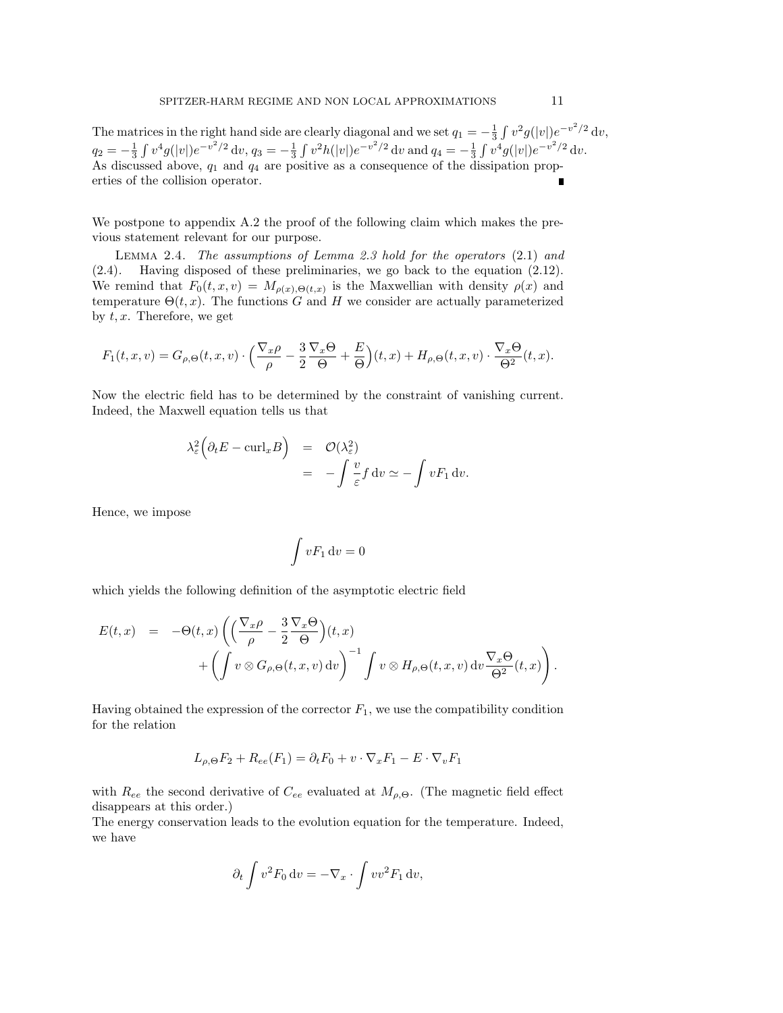The matrices in the right hand side are clearly diagonal and we set  $q_1 = -\frac{1}{3} \int v^2 g(|v|) e^{-v^2/2} dv$ ,  $q_2 = -\frac{1}{3} \int v^4 g(|v|) e^{-v^2/2} dv$ ,  $q_3 = -\frac{1}{3} \int v^2 h(|v|) e^{-v^2/2} dv$  and  $q_4 = -\frac{1}{3} \int v^4 g(|v|) e^{-v^2/2} dv$ . As discussed above, *q*<sup>1</sup> and *q*<sup>4</sup> are positive as a consequence of the dissipation properties of the collision operator.

We postpone to appendix A.2 the proof of the following claim which makes the previous statement relevant for our purpose.

Lemma 2.4. *The assumptions of Lemma 2.3 hold for the operators* (2.1) *and* (2.4)*.* Having disposed of these preliminaries, we go back to the equation (2.12). We remind that  $F_0(t, x, v) = M_{\rho(x), \Theta(t, x)}$  is the Maxwellian with density  $\rho(x)$  and temperature  $\Theta(t, x)$ . The functions *G* and *H* we consider are actually parameterized by *t, x*. Therefore, we get

$$
F_1(t, x, v) = G_{\rho, \Theta}(t, x, v) \cdot \left(\frac{\nabla_x \rho}{\rho} - \frac{3}{2} \frac{\nabla_x \Theta}{\Theta} + \frac{E}{\Theta}\right)(t, x) + H_{\rho, \Theta}(t, x, v) \cdot \frac{\nabla_x \Theta}{\Theta^2}(t, x).
$$

Now the electric field has to be determined by the constraint of vanishing current. Indeed, the Maxwell equation tells us that

$$
\lambda_{\varepsilon}^{2} \left( \partial_{t} E - \text{curl}_{x} B \right) = \mathcal{O}(\lambda_{\varepsilon}^{2})
$$
  
= 
$$
- \int \frac{v}{\varepsilon} f \, dv \simeq - \int v F_{1} \, dv.
$$

Hence, we impose

$$
\int v F_1 \, \mathrm{d} v = 0
$$

which yields the following definition of the asymptotic electric field

$$
E(t,x) = -\Theta(t,x) \left( \left( \frac{\nabla_x \rho}{\rho} - \frac{3}{2} \frac{\nabla_x \Theta}{\Theta} \right)(t,x) + \left( \int v \otimes G_{\rho,\Theta}(t,x,v) dv \right)^{-1} \int v \otimes H_{\rho,\Theta}(t,x,v) dv \frac{\nabla_x \Theta}{\Theta^2}(t,x) \right).
$$

Having obtained the expression of the corrector  $F_1$ , we use the compatibility condition for the relation

$$
L_{\rho,\Theta}F_2 + R_{ee}(F_1) = \partial_t F_0 + v \cdot \nabla_x F_1 - E \cdot \nabla_v F_1
$$

with  $R_{ee}$  the second derivative of  $C_{ee}$  evaluated at  $M_{\rho,\Theta}$ . (The magnetic field effect disappears at this order.)

The energy conservation leads to the evolution equation for the temperature. Indeed, we have

$$
\partial_t \int v^2 F_0 \, \mathrm{d}v = -\nabla_x \cdot \int v v^2 F_1 \, \mathrm{d}v,
$$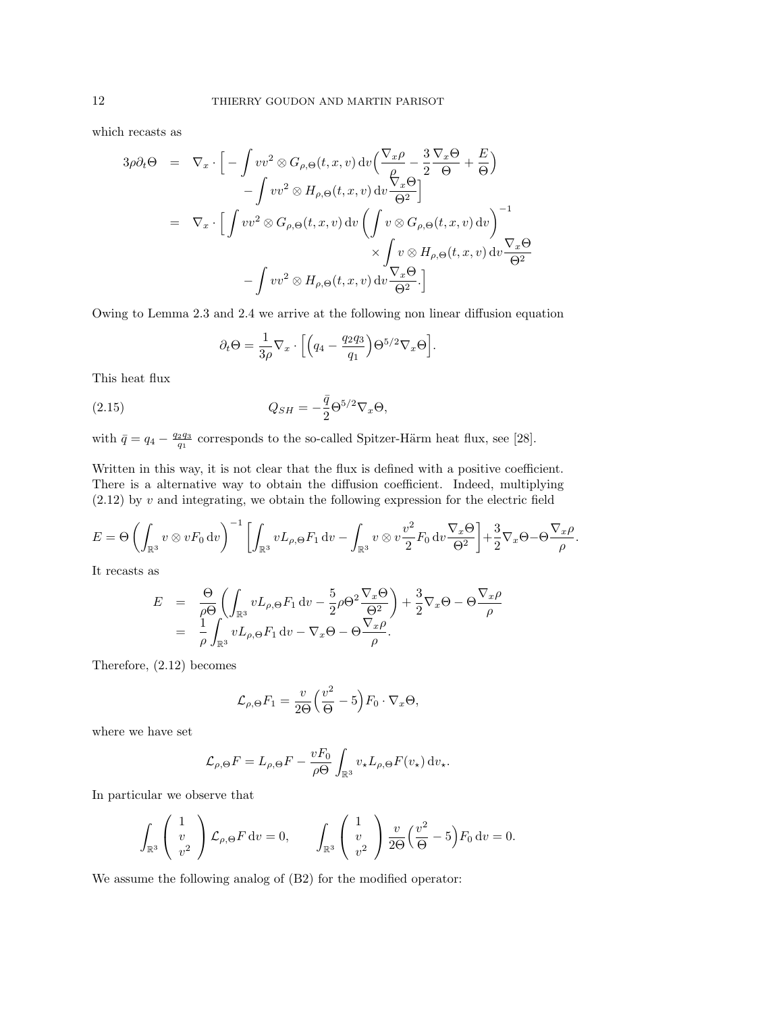which recasts as

$$
3\rho \partial_t \Theta = \nabla_x \cdot \left[ -\int v v^2 \otimes G_{\rho,\Theta}(t,x,v) \, dv \left( \frac{\nabla_x \rho}{\rho} - \frac{3}{2} \frac{\nabla_x \Theta}{\Theta} + \frac{E}{\Theta} \right) \right. \n- \int v v^2 \otimes H_{\rho,\Theta}(t,x,v) \, dv \frac{\nabla_x \Theta}{\Theta^2} \right] \n= \nabla_x \cdot \left[ \int v v^2 \otimes G_{\rho,\Theta}(t,x,v) \, dv \left( \int v \otimes G_{\rho,\Theta}(t,x,v) \, dv \right) \right]^{-1} \n\times \int v \otimes H_{\rho,\Theta}(t,x,v) \, dv \frac{\nabla_x \Theta}{\Theta^2} \n- \int v v^2 \otimes H_{\rho,\Theta}(t,x,v) \, dv \frac{\nabla_x \Theta}{\Theta^2} . \right]
$$

Owing to Lemma  $2.3$  and  $2.4$  we arrive at the following non linear diffusion equation

$$
\partial_t \Theta = \frac{1}{3\rho} \nabla_x \cdot \left[ \left( q_4 - \frac{q_2 q_3}{q_1} \right) \Theta^{5/2} \nabla_x \Theta \right].
$$

This heat flux

(2.15) 
$$
Q_{SH} = -\frac{\bar{q}}{2} \Theta^{5/2} \nabla_x \Theta,
$$

with  $\bar{q} = q_4 - \frac{q_2 q_3}{q_1}$  corresponds to the so-called Spitzer-Härm heat flux, see [28].

Written in this way, it is not clear that the flux is defined with a positive coefficient. There is a alternative way to obtain the diffusion coefficient. Indeed, multiplying (2.12) by *v* and integrating, we obtain the following expression for the electric field

$$
E = \Theta \left( \int_{\mathbb{R}^3} v \otimes v F_0 \, \mathrm{d}v \right)^{-1} \left[ \int_{\mathbb{R}^3} v L_{\rho, \Theta} F_1 \, \mathrm{d}v - \int_{\mathbb{R}^3} v \otimes v \frac{v^2}{2} F_0 \, \mathrm{d}v \frac{\nabla_x \Theta}{\Theta^2} \right] + \frac{3}{2} \nabla_x \Theta - \Theta \frac{\nabla_x \rho}{\rho}.
$$

It recasts as

$$
E = \frac{\Theta}{\rho \Theta} \left( \int_{\mathbb{R}^3} v L_{\rho,\Theta} F_1 \, dv - \frac{5}{2} \rho \Theta^2 \frac{\nabla_x \Theta}{\Theta^2} \right) + \frac{3}{2} \nabla_x \Theta - \Theta \frac{\nabla_x \rho}{\rho}
$$
  
= 
$$
\frac{1}{\rho} \int_{\mathbb{R}^3} v L_{\rho,\Theta} F_1 \, dv - \nabla_x \Theta - \Theta \frac{\nabla_x \rho}{\rho}.
$$

Therefore, (2.12) becomes

$$
\mathcal{L}_{\rho,\Theta}F_1 = \frac{v}{2\Theta} \left(\frac{v^2}{\Theta} - 5\right) F_0 \cdot \nabla_x \Theta,
$$

where we have set

$$
\mathcal{L}_{\rho,\Theta}F = L_{\rho,\Theta}F - \frac{vF_0}{\rho\Theta} \int_{\mathbb{R}^3} v_{\star} L_{\rho,\Theta}F(v_{\star}) dv_{\star}.
$$

In particular we observe that

$$
\int_{\mathbb{R}^3} \begin{pmatrix} 1 \\ v \\ v^2 \end{pmatrix} \mathcal{L}_{\rho,\Theta} F dv = 0, \qquad \int_{\mathbb{R}^3} \begin{pmatrix} 1 \\ v \\ v^2 \end{pmatrix} \frac{v}{2\Theta} \left( \frac{v^2}{\Theta} - 5 \right) F_0 dv = 0.
$$

We assume the following analog of (B2) for the modified operator: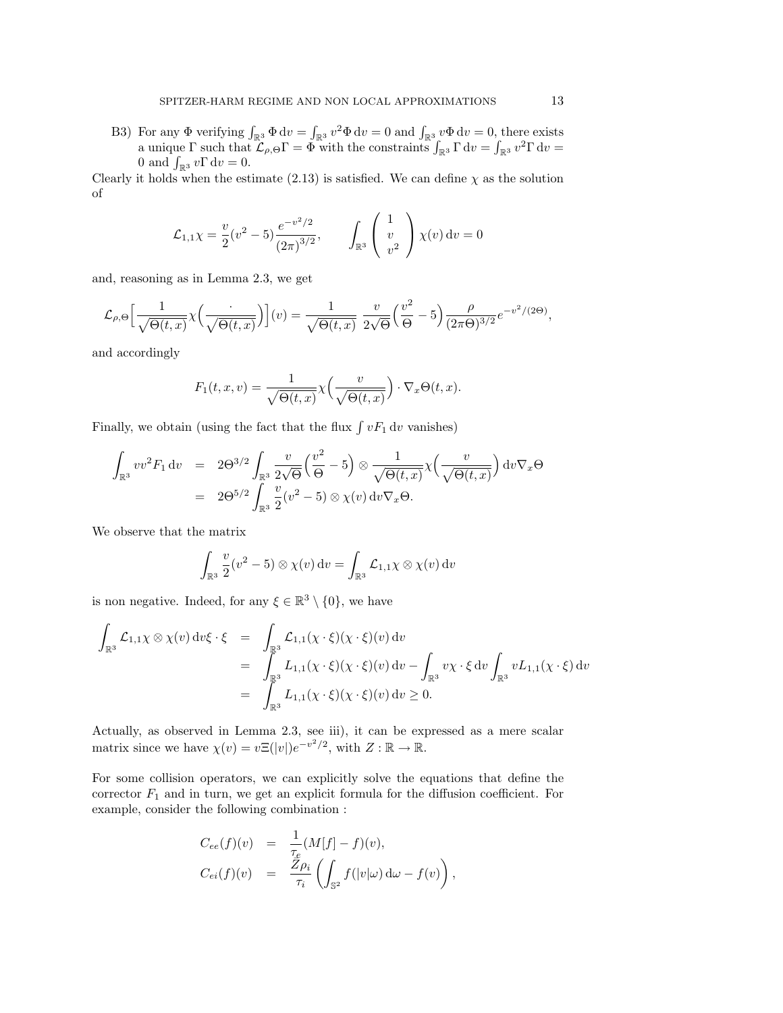B3) For any  $\Phi$  verifying  $\int_{\mathbb{R}^3} \Phi \, dv = \int_{\mathbb{R}^3} v^2 \Phi \, dv = 0$  and  $\int_{\mathbb{R}^3} v \Phi \, dv = 0$ , there exists a unique  $\Gamma$  such that  $\mathcal{L}_{\rho,\Theta} \Gamma = \Phi$  with the constraints  $\int_{\mathbb{R}^3} \Gamma dv = \int_{\mathbb{R}^3} v^2 \Gamma dv =$ 0 and  $\int_{\mathbb{R}^3} v \Gamma dv = 0.$ 

Clearly it holds when the estimate (2.13) is satisfied. We can define  $\chi$  as the solution of

$$
\mathcal{L}_{1,1}\chi = \frac{v}{2}(v^2 - 5)\frac{e^{-v^2/2}}{(2\pi)^{3/2}}, \qquad \int_{\mathbb{R}^3} \begin{pmatrix} 1\\ v\\ v^2 \end{pmatrix} \chi(v) dv = 0
$$

and, reasoning as in Lemma 2.3, we get

$$
\mathcal{L}_{\rho,\Theta}\Big[\frac{1}{\sqrt{\Theta(t,x)}}\chi\Big(\frac{\cdot}{\sqrt{\Theta(t,x)}}\Big)\Big](v) = \frac{1}{\sqrt{\Theta(t,x)}}\,\frac{v}{2\sqrt{\Theta}}\Big(\frac{v^2}{\Theta} - 5\Big)\frac{\rho}{(2\pi\Theta)^{3/2}}e^{-v^2/(2\Theta)}
$$

and accordingly

$$
F_1(t, x, v) = \frac{1}{\sqrt{\Theta(t, x)}} \chi\left(\frac{v}{\sqrt{\Theta(t, x)}}\right) \cdot \nabla_x \Theta(t, x).
$$

Finally, we obtain (using the fact that the flux  $\int vF_1 dv$  vanishes)

$$
\int_{\mathbb{R}^3} v v^2 F_1 \, \mathrm{d}v = 2\Theta^{3/2} \int_{\mathbb{R}^3} \frac{v}{2\sqrt{\Theta}} \left(\frac{v^2}{\Theta} - 5\right) \otimes \frac{1}{\sqrt{\Theta(t, x)}} \chi\left(\frac{v}{\sqrt{\Theta(t, x)}}\right) \mathrm{d}v \nabla_x \Theta
$$
\n
$$
= 2\Theta^{5/2} \int_{\mathbb{R}^3} \frac{v}{2} (v^2 - 5) \otimes \chi(v) \, \mathrm{d}v \nabla_x \Theta.
$$

We observe that the matrix

$$
\int_{\mathbb{R}^3} \frac{v}{2} (v^2 - 5) \otimes \chi(v) dv = \int_{\mathbb{R}^3} \mathcal{L}_{1,1} \chi \otimes \chi(v) dv
$$

is non negative. Indeed, for any  $\xi \in \mathbb{R}^3 \setminus \{0\}$ , we have

$$
\int_{\mathbb{R}^3} \mathcal{L}_{1,1}\chi \otimes \chi(v) \, dv\xi \cdot \xi = \int_{\mathbb{R}^3} \mathcal{L}_{1,1}(\chi \cdot \xi)(\chi \cdot \xi)(v) \, dv
$$
\n
$$
= \int_{\mathbb{R}^3} L_{1,1}(\chi \cdot \xi)(\chi \cdot \xi)(v) \, dv - \int_{\mathbb{R}^3} v\chi \cdot \xi \, dv \int_{\mathbb{R}^3} vL_{1,1}(\chi \cdot \xi) \, dv
$$
\n
$$
= \int_{\mathbb{R}^3} L_{1,1}(\chi \cdot \xi)(\chi \cdot \xi)(v) \, dv \ge 0.
$$

Actually, as observed in Lemma 2.3, see iii), it can be expressed as a mere scalar matrix since we have  $\chi(v) = v \Xi(|v|) e^{-v^2/2}$ , with  $Z : \mathbb{R} \to \mathbb{R}$ .

For some collision operators, we can explicitly solve the equations that define the corrector  $F_1$  and in turn, we get an explicit formula for the diffusion coefficient. For example, consider the following combination :

$$
C_{ee}(f)(v) = \frac{1}{\tau_e}(M[f] - f)(v),
$$
  
\n
$$
C_{ei}(f)(v) = \frac{\overline{Z}\rho_i}{\tau_i} \left( \int_{\mathbb{S}^2} f(|v|\omega) d\omega - f(v) \right),
$$

*,*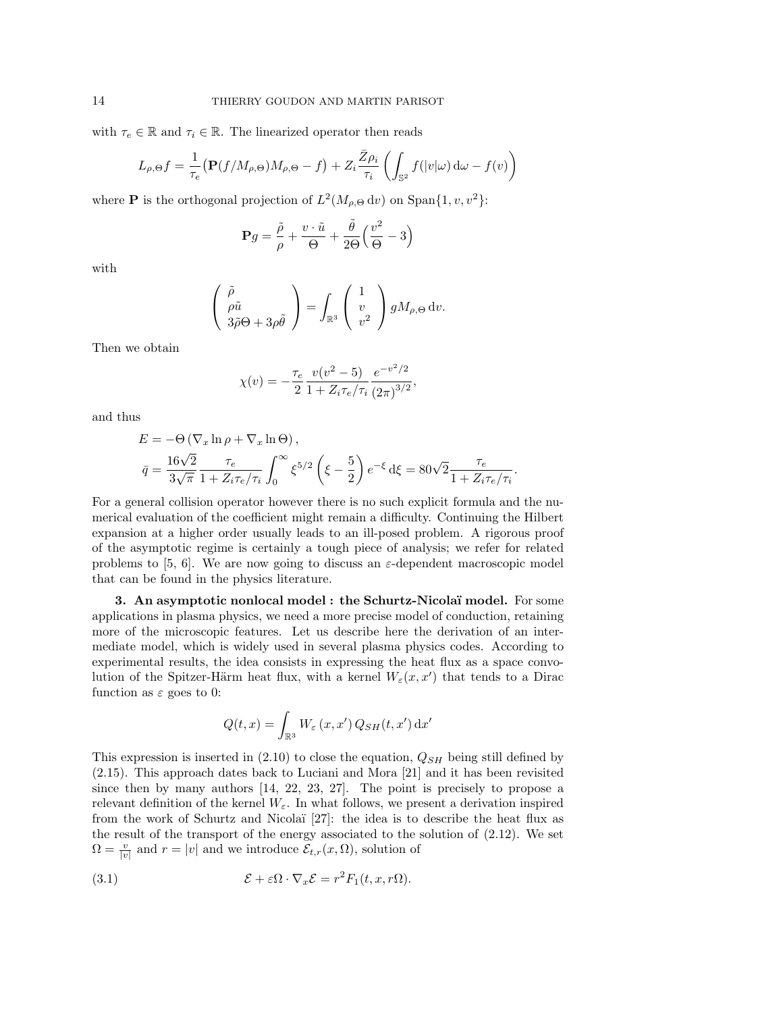with  $\tau_e \in \mathbb{R}$  and  $\tau_i \in \mathbb{R}$ . The linearized operator then reads

$$
L_{\rho,\Theta}f = \frac{1}{\tau_e} \left( \mathbf{P}(f/M_{\rho,\Theta})M_{\rho,\Theta} - f \right) + Z_i \frac{\bar{Z}\rho_i}{\tau_i} \left( \int_{\mathbb{S}^2} f(|v|\omega) d\omega - f(v) \right)
$$

where **P** is the orthogonal projection of  $L^2(M_{\rho,\Theta} d v)$  on Span $\{1, v, v^2\}$ :

$$
\mathbf{P}g = \frac{\tilde{\rho}}{\rho} + \frac{v \cdot \tilde{u}}{\Theta} + \frac{\tilde{\theta}}{2\Theta} \left(\frac{v^2}{\Theta} - 3\right)
$$

with

$$
\begin{pmatrix} \tilde{\rho} \\ \rho \tilde{u} \\ 3\tilde{\rho}\Theta + 3\rho \tilde{\theta} \end{pmatrix} = \int_{\mathbb{R}^3} \begin{pmatrix} 1 \\ v \\ v^2 \end{pmatrix} g M_{\rho,\Theta} dv.
$$

Then we obtain

$$
\chi(v) = -\frac{\tau_e}{2} \frac{v(v^2 - 5)}{1 + Z_i \tau_e / \tau_i} \frac{e^{-v^2/2}}{(2\pi)^{3/2}},
$$

and thus

$$
E = -\Theta \left( \nabla_x \ln \rho + \nabla_x \ln \Theta \right),
$$
  
\n
$$
\bar{q} = \frac{16\sqrt{2}}{3\sqrt{\pi}} \frac{\tau_e}{1 + Z_i \tau_e / \tau_i} \int_0^\infty \xi^{5/2} \left( \xi - \frac{5}{2} \right) e^{-\xi} d\xi = 80\sqrt{2} \frac{\tau_e}{1 + Z_i \tau_e / \tau_i}
$$

*.*

For a general collision operator however there is no such explicit formula and the numerical evaluation of the coefficient might remain a difficulty. Continuing the Hilbert expansion at a higher order usually leads to an ill-posed problem. A rigorous proof of the asymptotic regime is certainly a tough piece of analysis; we refer for related problems to [5, 6]. We are now going to discuss an  $\varepsilon$ -dependent macroscopic model that can be found in the physics literature.

3. An asymptotic nonlocal model : the Schurtz-Nicolaï model. For some applications in plasma physics, we need a more precise model of conduction, retaining more of the microscopic features. Let us describe here the derivation of an intermediate model, which is widely used in several plasma physics codes. According to experimental results, the idea consists in expressing the heat flux as a space convolution of the Spitzer-Härm heat flux, with a kernel  $W_{\varepsilon}(x, x')$  that tends to a Dirac function as  $\varepsilon$  goes to 0:

$$
Q(t,x) = \int_{\mathbb{R}^3} W_{\varepsilon} (x, x') Q_{SH} (t, x') dx'
$$

This expression is inserted in (2.10) to close the equation, *QSH* being still defined by (2.15). This approach dates back to Luciani and Mora [21] and it has been revisited since then by many authors [14, 22, 23, 27]. The point is precisely to propose a relevant definition of the kernel  $W_{\varepsilon}$ . In what follows, we present a derivation inspired from the work of Schurtz and Nicolaï  $[27]$ : the idea is to describe the heat flux as the result of the transport of the energy associated to the solution of (2.12). We set  $\Omega = \frac{v}{|v|}$  and  $r = |v|$  and we introduce  $\mathcal{E}_{t,r}(x, \Omega)$ , solution of

(3.1) 
$$
\mathcal{E} + \varepsilon \Omega \cdot \nabla_x \mathcal{E} = r^2 F_1(t, x, r\Omega).
$$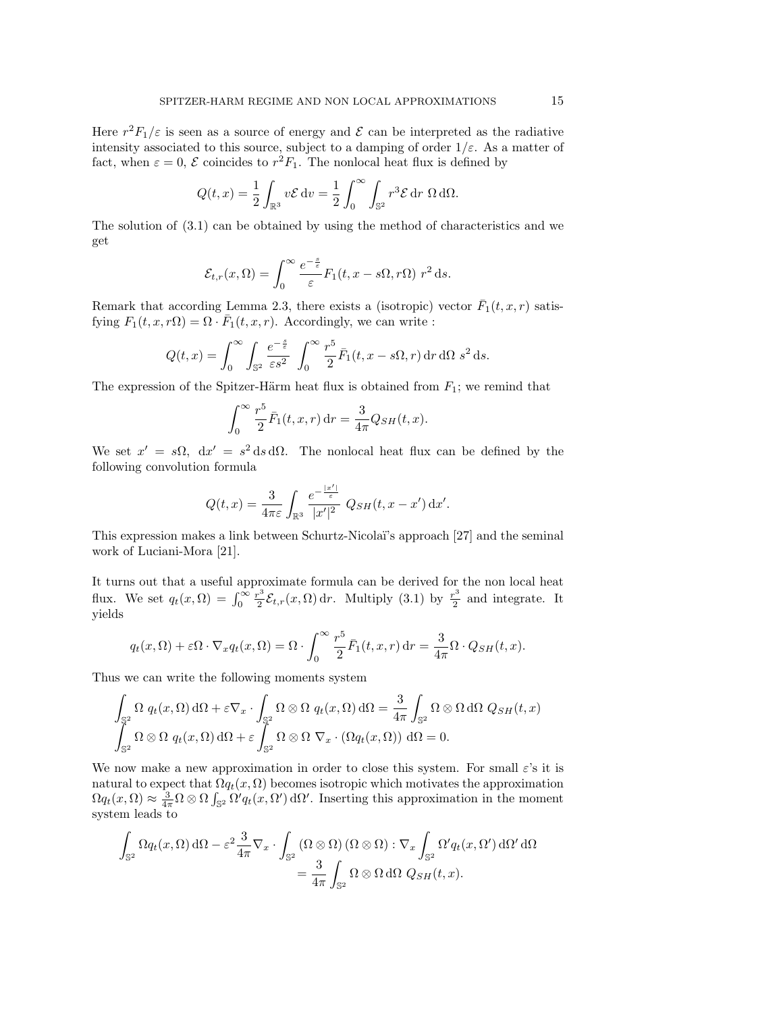Here  $r^2F_1/\varepsilon$  is seen as a source of energy and  $\mathcal E$  can be interpreted as the radiative intensity associated to this source, subject to a damping of order  $1/\varepsilon$ . As a matter of fact, when  $\varepsilon = 0$ ,  $\mathcal E$  coincides to  $r^2 F_1$ . The nonlocal heat flux is defined by

$$
Q(t,x) = \frac{1}{2} \int_{\mathbb{R}^3} v \mathcal{E} \, dv = \frac{1}{2} \int_0^\infty \int_{\mathbb{S}^2} r^3 \mathcal{E} \, dr \, \Omega \, d\Omega.
$$

The solution of (3.1) can be obtained by using the method of characteristics and we get

$$
\mathcal{E}_{t,r}(x,\Omega) = \int_0^\infty \frac{e^{-\frac{s}{\varepsilon}}}{\varepsilon} F_1(t,x-s\Omega,r\Omega) r^2 ds.
$$

Remark that according Lemma 2.3, there exists a (isotropic) vector  $\bar{F}_1(t, x, r)$  satisfying  $F_1(t, x, r\Omega) = \Omega \cdot \bar{F}_1(t, x, r)$ . Accordingly, we can write :

$$
Q(t,x) = \int_0^\infty \int_{\mathbb{S}^2} \frac{e^{-\frac{s}{\varepsilon}}}{\varepsilon s^2} \int_0^\infty \frac{r^5}{2} \bar{F}_1(t,x-s\Omega,r) dr d\Omega s^2 ds.
$$

The expression of the Spitzer-Härm heat flux is obtained from  $F_1$ ; we remind that

$$
\int_0^{\infty} \frac{r^5}{2} \bar{F}_1(t, x, r) dr = \frac{3}{4\pi} Q_{SH}(t, x).
$$

We set  $x' = s\Omega$ ,  $dx' = s^2 ds d\Omega$ . The nonlocal heat flux can be defined by the following convolution formula

$$
Q(t,x) = \frac{3}{4\pi\varepsilon} \int_{\mathbb{R}^3} \frac{e^{-\frac{|x'|}{\varepsilon}}}{|x'|^2} \, Q_{SH}(t,x-x') \, dx'.
$$

This expression makes a link between Schurtz-Nicola¨ı's approach [27] and the seminal work of Luciani-Mora [21].

It turns out that a useful approximate formula can be derived for the non local heat flux. We set  $q_t(x, \Omega) = \int_0^\infty \frac{r^3}{2} \mathcal{E}_{t,r}(x, \Omega) dr$ . Multiply (3.1) by  $\frac{r^3}{2}$  and integrate. It yields

$$
q_t(x,\Omega) + \varepsilon\Omega \cdot \nabla_x q_t(x,\Omega) = \Omega \cdot \int_0^\infty \frac{r^5}{2} \bar{F}_1(t,x,r) dr = \frac{3}{4\pi} \Omega \cdot Q_{SH}(t,x).
$$

Thus we can write the following moments system

$$
\int_{\mathbb{S}^2} \Omega q_t(x, \Omega) d\Omega + \varepsilon \nabla_x \cdot \int_{\mathbb{S}^2} \Omega \otimes \Omega q_t(x, \Omega) d\Omega = \frac{3}{4\pi} \int_{\mathbb{S}^2} \Omega \otimes \Omega d\Omega Q_{SH}(t, x)
$$
  

$$
\int_{\mathbb{S}^2} \Omega \otimes \Omega q_t(x, \Omega) d\Omega + \varepsilon \int_{\mathbb{S}^2} \Omega \otimes \Omega \nabla_x \cdot (\Omega q_t(x, \Omega)) d\Omega = 0.
$$

We now make a new approximation in order to close this system. For small  $\varepsilon$ 's it is natural to expect that  $\Omega_{q_t}(x, \Omega)$  becomes isotropic which motivates the approximation  $\Omega q_t(x, \Omega) \approx \frac{3}{4\pi} \Omega \otimes \Omega \int_{\mathbb{S}^2} \Omega' q_t(x, \Omega') d\Omega'.$  Inserting this approximation in the moment system leads to

$$
\int_{\mathbb{S}^2} \Omega q_t(x, \Omega) d\Omega - \varepsilon^2 \frac{3}{4\pi} \nabla_x \cdot \int_{\mathbb{S}^2} (\Omega \otimes \Omega) (\Omega \otimes \Omega) : \nabla_x \int_{\mathbb{S}^2} \Omega' q_t(x, \Omega') d\Omega' d\Omega
$$

$$
= \frac{3}{4\pi} \int_{\mathbb{S}^2} \Omega \otimes \Omega d\Omega Q_{SH}(t, x).
$$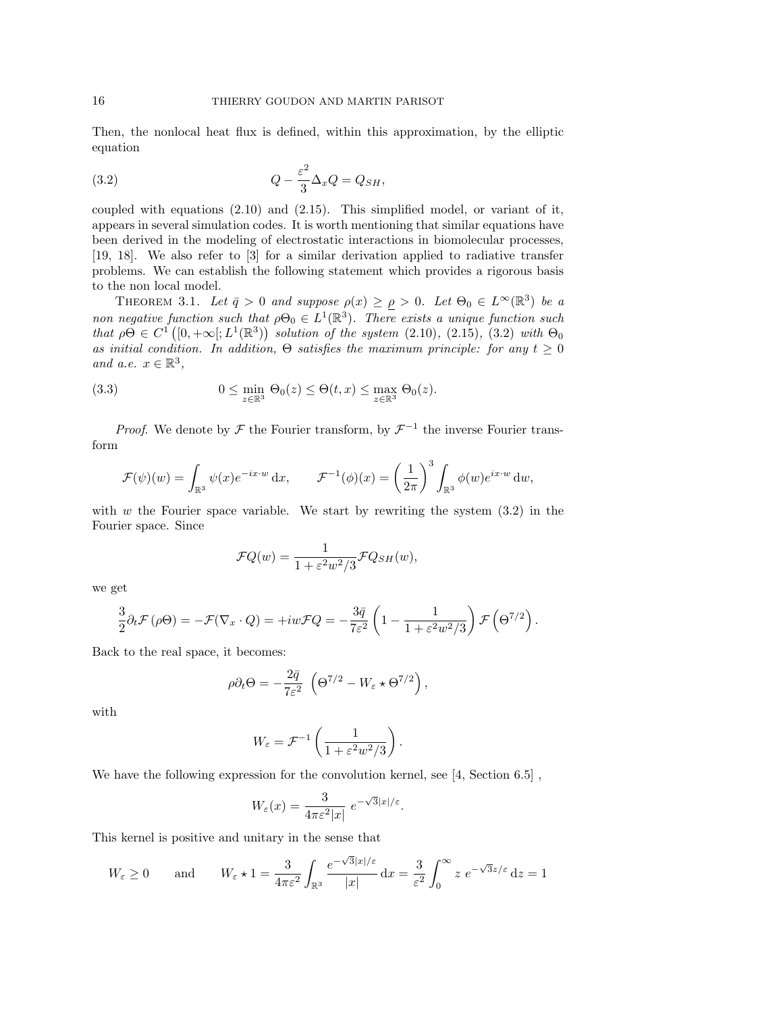Then, the nonlocal heat flux is defined, within this approximation, by the elliptic equation

(3.2) 
$$
Q - \frac{\varepsilon^2}{3} \Delta_x Q = Q_{SH},
$$

coupled with equations (2.10) and (2.15). This simplified model, or variant of it, appears in several simulation codes. It is worth mentioning that similar equations have been derived in the modeling of electrostatic interactions in biomolecular processes, [19, 18]. We also refer to [3] for a similar derivation applied to radiative transfer problems. We can establish the following statement which provides a rigorous basis to the non local model.

THEOREM 3.1. Let  $\bar{q} > 0$  and suppose  $\rho(x) \ge \rho > 0$ . Let  $\Theta_0 \in L^{\infty}(\mathbb{R}^3)$  be a *non negative function such that*  $\rho \Theta_0 \in L^1(\mathbb{R}^3)$ *. There exists a unique function such that*  $\rho \Theta \in C^1([0, +\infty[; L^1(\mathbb{R}^3))$  *solution of the system* (2.10)*,* (2.15)*,* (3.2) *with*  $\Theta_0$ *as initial condition. In addition,*  $\Theta$  *satisfies the maximum principle: for any*  $t \geq 0$ *and a.e.*  $x \in \mathbb{R}^3$ ,

(3.3) 
$$
0 \leq \min_{z \in \mathbb{R}^3} \Theta_0(z) \leq \Theta(t, x) \leq \max_{z \in \mathbb{R}^3} \Theta_0(z).
$$

*Proof.* We denote by  $\mathcal F$  the Fourier transform, by  $\mathcal F^{-1}$  the inverse Fourier transform

$$
\mathcal{F}(\psi)(w) = \int_{\mathbb{R}^3} \psi(x) e^{-ix \cdot w} dx, \qquad \mathcal{F}^{-1}(\phi)(x) = \left(\frac{1}{2\pi}\right)^3 \int_{\mathbb{R}^3} \phi(w) e^{ix \cdot w} dw,
$$

with *w* the Fourier space variable. We start by rewriting the system  $(3.2)$  in the Fourier space. Since

$$
\mathcal{F}Q(w) = \frac{1}{1 + \varepsilon^2 w^2 / 3} \mathcal{F}Q_{SH}(w),
$$

we get

$$
\frac{3}{2}\partial_t \mathcal{F}(\rho\Theta) = -\mathcal{F}(\nabla_x \cdot Q) = +iw\mathcal{F}Q = -\frac{3\bar{q}}{7\varepsilon^2} \left(1 - \frac{1}{1 + \varepsilon^2 w^2/3}\right) \mathcal{F}\left(\Theta^{7/2}\right).
$$

Back to the real space, it becomes:

$$
\rho \partial_t \Theta = -\frac{2\bar{q}}{7\varepsilon^2} \left( \Theta^{7/2} - W_\varepsilon \star \Theta^{7/2} \right),
$$

with

$$
W_{\varepsilon} = \mathcal{F}^{-1}\left(\frac{1}{1+\varepsilon^2 w^2/3}\right).
$$

We have the following expression for the convolution kernel, see [4, Section 6.5] ,

$$
W_{\varepsilon}(x) = \frac{3}{4\pi \varepsilon^2 |x|} e^{-\sqrt{3}|x|/\varepsilon}.
$$

This kernel is positive and unitary in the sense that

$$
W_{\varepsilon} \ge 0
$$
 and  $W_{\varepsilon} \star 1 = \frac{3}{4\pi\varepsilon^2} \int_{\mathbb{R}^3} \frac{e^{-\sqrt{3}|x|/\varepsilon}}{|x|} dx = \frac{3}{\varepsilon^2} \int_0^\infty z e^{-\sqrt{3}z/\varepsilon} dz = 1$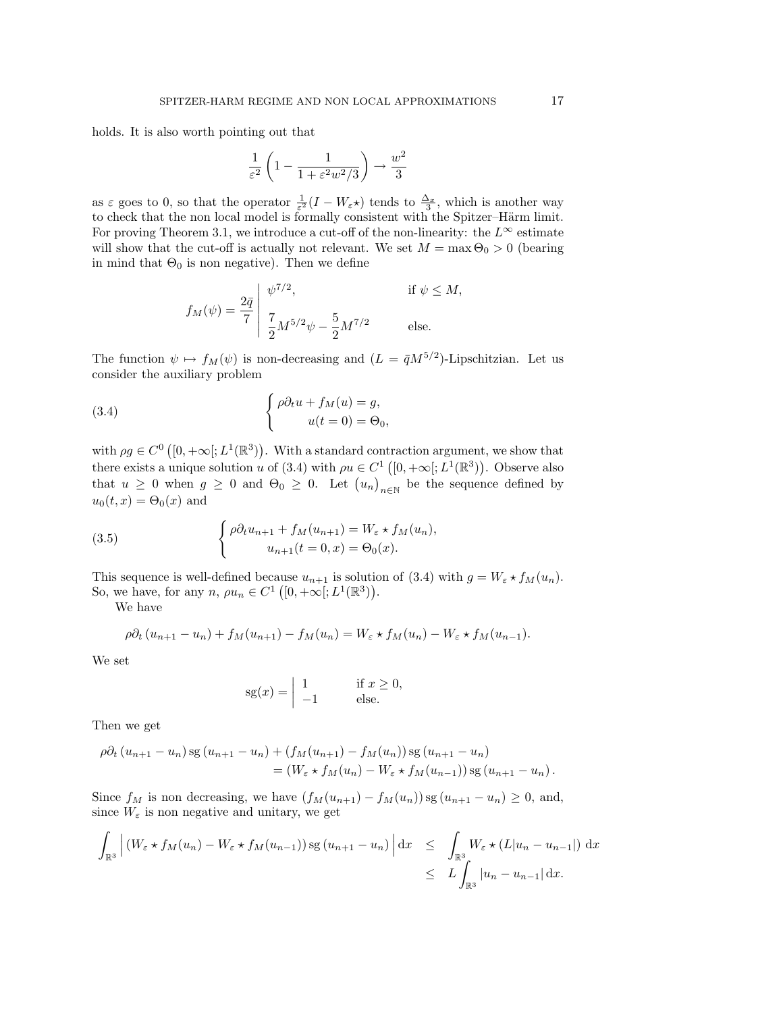holds. It is also worth pointing out that

$$
\frac{1}{\varepsilon^2}\left(1-\frac{1}{1+\varepsilon^2w^2/3}\right)\to \frac{w^2}{3}
$$

as  $\varepsilon$  goes to 0, so that the operator  $\frac{1}{\varepsilon^2}(I - W_\varepsilon \star)$  tends to  $\frac{\Delta_x}{3}$ , which is another way to check that the non local model is formally consistent with the Spitzer-Härm limit. For proving Theorem 3.1, we introduce a cut-off of the non-linearity: the  $L^{\infty}$  estimate will show that the cut-off is actually not relevant. We set  $M = \max \Theta_0 > 0$  (bearing in mind that  $\Theta_0$  is non negative). Then we define

$$
f_M(\psi) = \frac{2\bar{q}}{7} \begin{vmatrix} \psi^{7/2}, & \text{if } \psi \le M, \\ \frac{7}{2} M^{5/2} \psi - \frac{5}{2} M^{7/2} & \text{else.} \end{vmatrix}
$$

The function  $\psi \mapsto f_M(\psi)$  is non-decreasing and  $(L = \bar{q}M^{5/2})$ -Lipschitzian. Let us consider the auxiliary problem

(3.4) 
$$
\begin{cases} \rho \partial_t u + f_M(u) = g, \\ u(t = 0) = \Theta_0, \end{cases}
$$

with  $\rho g \in C^0([0, +\infty[; L^1(\mathbb{R}^3)).$  With a standard contraction argument, we show that there exists a unique solution *u* of (3.4) with  $\rho u \in C^1([0, +\infty[; L^1(\mathbb{R}^3))$ . Observe also that  $u \geq 0$  when  $g \geq 0$  and  $\Theta_0 \geq 0$ . Let  $(u_n)_{n \in \mathbb{N}}$  be the sequence defined by  $u_0(t, x) = \Theta_0(x)$  and

(3.5) 
$$
\begin{cases} \rho \partial_t u_{n+1} + f_M(u_{n+1}) = W_{\varepsilon} \star f_M(u_n), \\ u_{n+1}(t=0, x) = \Theta_0(x). \end{cases}
$$

This sequence is well-defined because  $u_{n+1}$  is solution of (3.4) with  $g = W_{\varepsilon} \star f_M(u_n)$ . So, we have, for any  $n, \rho u_n \in C^1([0, +\infty[; L^1(\mathbb{R}^3)).$ 

We have

$$
\rho \partial_t (u_{n+1} - u_n) + f_M(u_{n+1}) - f_M(u_n) = W_{\varepsilon} \star f_M(u_n) - W_{\varepsilon} \star f_M(u_{n-1}).
$$

We set

$$
sg(x) = \begin{vmatrix} 1 & \text{if } x \ge 0, \\ -1 & \text{else.} \end{vmatrix}
$$

Then we get

$$
\rho \partial_t (u_{n+1} - u_n) \operatorname{sg} (u_{n+1} - u_n) + (f_M(u_{n+1}) - f_M(u_n)) \operatorname{sg} (u_{n+1} - u_n)
$$
  
=  $(W_{\varepsilon} \star f_M(u_n) - W_{\varepsilon} \star f_M(u_{n-1})) \operatorname{sg} (u_{n+1} - u_n).$ 

Since  $f_M$  is non decreasing, we have  $(f_M(u_{n+1}) - f_M(u_n))$  sg  $(u_{n+1} - u_n) \geq 0$ , and, since  $W_{\varepsilon}$  is non negative and unitary, we get

$$
\int_{\mathbb{R}^3} \left| \left( W_{\varepsilon} \star f_M(u_n) - W_{\varepsilon} \star f_M(u_{n-1}) \right) \mathrm{sg} \left( u_{n+1} - u_n \right) \right| \mathrm{d}x \leq \int_{\mathbb{R}^3} W_{\varepsilon} \star (L|u_n - u_{n-1}|) \mathrm{d}x
$$
\n
$$
\leq L \int_{\mathbb{R}^3} |u_n - u_{n-1}| \mathrm{d}x.
$$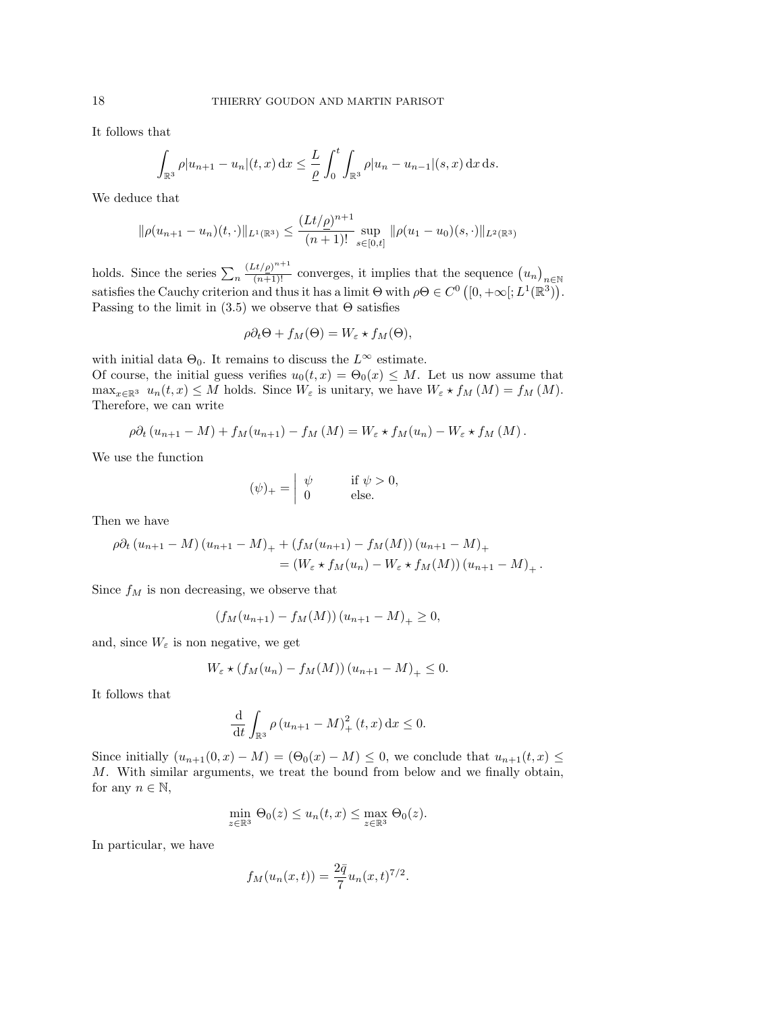It follows that

$$
\int_{\mathbb{R}^3} \rho |u_{n+1} - u_n|(t, x) dx \leq \frac{L}{\rho} \int_0^t \int_{\mathbb{R}^3} \rho |u_n - u_{n-1}|(s, x) dx ds.
$$

We deduce that

$$
\|\rho(u_{n+1}-u_n)(t,\cdot)\|_{L^1(\mathbb{R}^3)} \le \frac{(Lt/\rho)^{n+1}}{(n+1)!} \sup_{s\in[0,t]} \|\rho(u_1-u_0)(s,\cdot)\|_{L^2(\mathbb{R}^3)}
$$

holds. Since the series  $\sum_{n}$  $\frac{(Lt/\rho)^{n+1}}{(n+1)!}$  converges, it implies that the sequence  $(u_n)_{n\in\mathbb{N}}$ satisfies the Cauchy criterion and thus it has a limit  $\Theta$  with  $\rho \Theta \in C^0 \left( [0, +\infty[ : L^1(\mathbb{R}^3)) \right)$ . Passing to the limit in  $(3.5)$  we observe that  $\Theta$  satisfies

$$
\rho \partial_t \Theta + f_M(\Theta) = W_{\varepsilon} \star f_M(\Theta),
$$

with initial data  $\Theta_0$ . It remains to discuss the  $L^{\infty}$  estimate. Of course, the initial guess verifies  $u_0(t, x) = \Theta_0(x) \leq M$ . Let us now assume that  $\max_{x \in \mathbb{R}^3} u_n(t, x) \leq M$  holds. Since  $W_\varepsilon$  is unitary, we have  $W_\varepsilon * f_M(M) = f_M(M)$ . Therefore, we can write

$$
\rho \partial_t (u_{n+1} - M) + f_M(u_{n+1}) - f_M(M) = W_{\varepsilon} \star f_M(u_n) - W_{\varepsilon} \star f_M(M).
$$

We use the function

$$
(\psi)_+ = \begin{vmatrix} \psi & \text{if } \psi > 0, \\ 0 & \text{else.} \end{vmatrix}
$$

Then we have

$$
\rho \partial_t (u_{n+1} - M) (u_{n+1} - M)_+ + (f_M(u_{n+1}) - f_M(M)) (u_{n+1} - M)_+ = (W_{\varepsilon} \star f_M(u_n) - W_{\varepsilon} \star f_M(M)) (u_{n+1} - M)_+.
$$

Since  $f_M$  is non decreasing, we observe that

$$
(f_M(u_{n+1}) - f_M(M))(u_{n+1} - M)_+ \ge 0,
$$

and, since  $W_{\varepsilon}$  is non negative, we get

$$
W_{\varepsilon} \star (f_M(u_n) - f_M(M))(u_{n+1} - M)_+ \leq 0.
$$

It follows that

$$
\frac{\mathrm{d}}{\mathrm{d}t} \int_{\mathbb{R}^3} \rho \left( u_{n+1} - M \right)_+^2 (t, x) \, \mathrm{d}x \le 0.
$$

Since initially  $(u_{n+1}(0, x) - M) = (\Theta_0(x) - M) \leq 0$ , we conclude that  $u_{n+1}(t, x) \leq$ *M*. With similar arguments, we treat the bound from below and we finally obtain, for any  $n \in \mathbb{N}$ ,

$$
\min_{z \in \mathbb{R}^3} \Theta_0(z) \le u_n(t, x) \le \max_{z \in \mathbb{R}^3} \Theta_0(z).
$$

In particular, we have

$$
f_M(u_n(x,t)) = \frac{2\bar{q}}{7}u_n(x,t)^{7/2}.
$$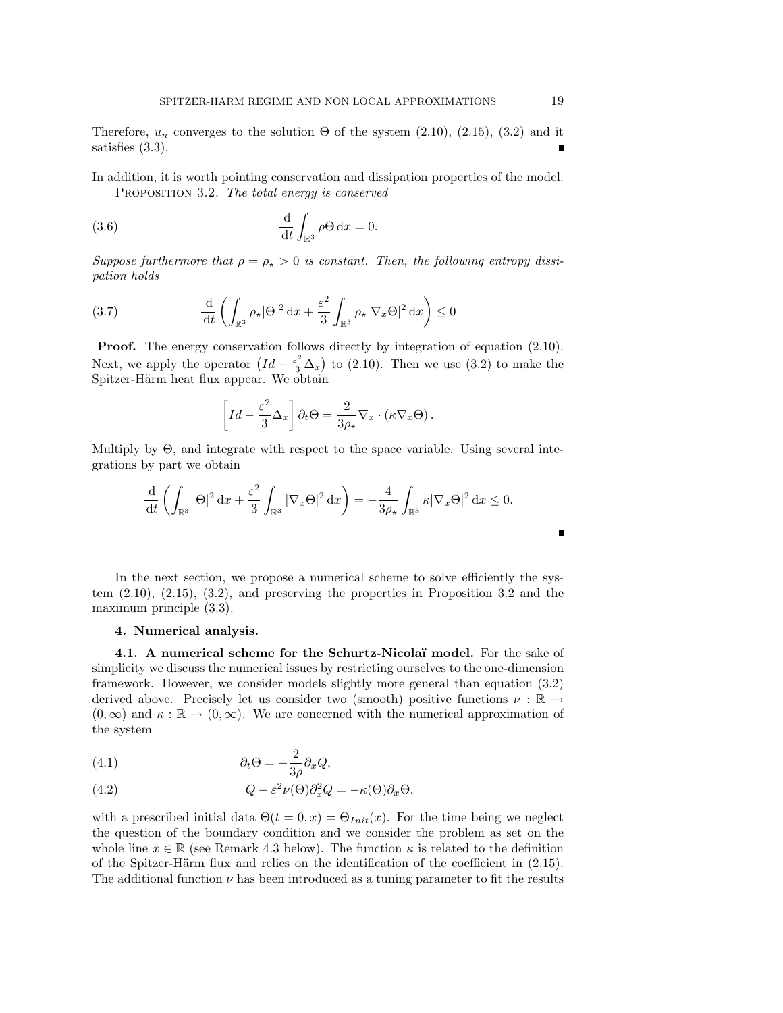Therefore,  $u_n$  converges to the solution  $\Theta$  of the system (2.10), (2.15), (3.2) and it satisfies (3.3).

In addition, it is worth pointing conservation and dissipation properties of the model. Proposition 3.2. *The total energy is conserved*

(3.6) 
$$
\frac{\mathrm{d}}{\mathrm{d}t} \int_{\mathbb{R}^3} \rho \Theta \, \mathrm{d}x = 0.
$$

*Suppose furthermore that*  $\rho = \rho_{\star} > 0$  *is constant. Then, the following entropy dissipation holds*

(3.7) 
$$
\frac{\mathrm{d}}{\mathrm{d}t} \left( \int_{\mathbb{R}^3} \rho_\star |\Theta|^2 \, \mathrm{d}x + \frac{\varepsilon^2}{3} \int_{\mathbb{R}^3} \rho_\star |\nabla_x \Theta|^2 \, \mathrm{d}x \right) \le 0
$$

**Proof.** The energy conservation follows directly by integration of equation  $(2.10)$ . Next, we apply the operator  $\left( Id - \frac{\varepsilon^2}{3} \Delta_x \right)$  to (2.10). Then we use (3.2) to make the Spitzer-Härm heat flux appear. We obtain

$$
\[Id - \frac{\varepsilon^2}{3} \Delta_x \] \partial_t \Theta = \frac{2}{3\rho_\star} \nabla_x \cdot (\kappa \nabla_x \Theta).
$$

Multiply by  $\Theta$ , and integrate with respect to the space variable. Using several integrations by part we obtain

$$
\frac{\mathrm{d}}{\mathrm{d}t} \left( \int_{\mathbb{R}^3} |\Theta|^2 \, \mathrm{d}x + \frac{\varepsilon^2}{3} \int_{\mathbb{R}^3} |\nabla_x \Theta|^2 \, \mathrm{d}x \right) = -\frac{4}{3\rho_\star} \int_{\mathbb{R}^3} \kappa |\nabla_x \Theta|^2 \, \mathrm{d}x \le 0.
$$

In the next section, we propose a numerical scheme to solve efficiently the system (2.10), (2.15), (3.2), and preserving the properties in Proposition 3.2 and the maximum principle (3.3).

### 4. Numerical analysis.

4.1. A numerical scheme for the Schurtz-Nicolaï model. For the sake of simplicity we discuss the numerical issues by restricting ourselves to the one-dimension framework. However, we consider models slightly more general than equation (3.2) derived above. Precisely let us consider two (smooth) positive functions  $\nu : \mathbb{R} \to$  $(0,\infty)$  and  $\kappa : \mathbb{R} \to (0,\infty)$ . We are concerned with the numerical approximation of the system

(4.1) 
$$
\partial_t \Theta = -\frac{2}{3\rho} \partial_x Q,
$$

(4.2) 
$$
Q - \varepsilon^2 \nu(\Theta) \partial_x^2 Q = -\kappa(\Theta) \partial_x \Theta,
$$

with a prescribed initial data  $\Theta(t = 0, x) = \Theta_{Init}(x)$ . For the time being we neglect the question of the boundary condition and we consider the problem as set on the whole line  $x \in \mathbb{R}$  (see Remark 4.3 below). The function  $\kappa$  is related to the definition of the Spitzer-Härm flux and relies on the identification of the coefficient in  $(2.15)$ . The additional function  $\nu$  has been introduced as a tuning parameter to fit the results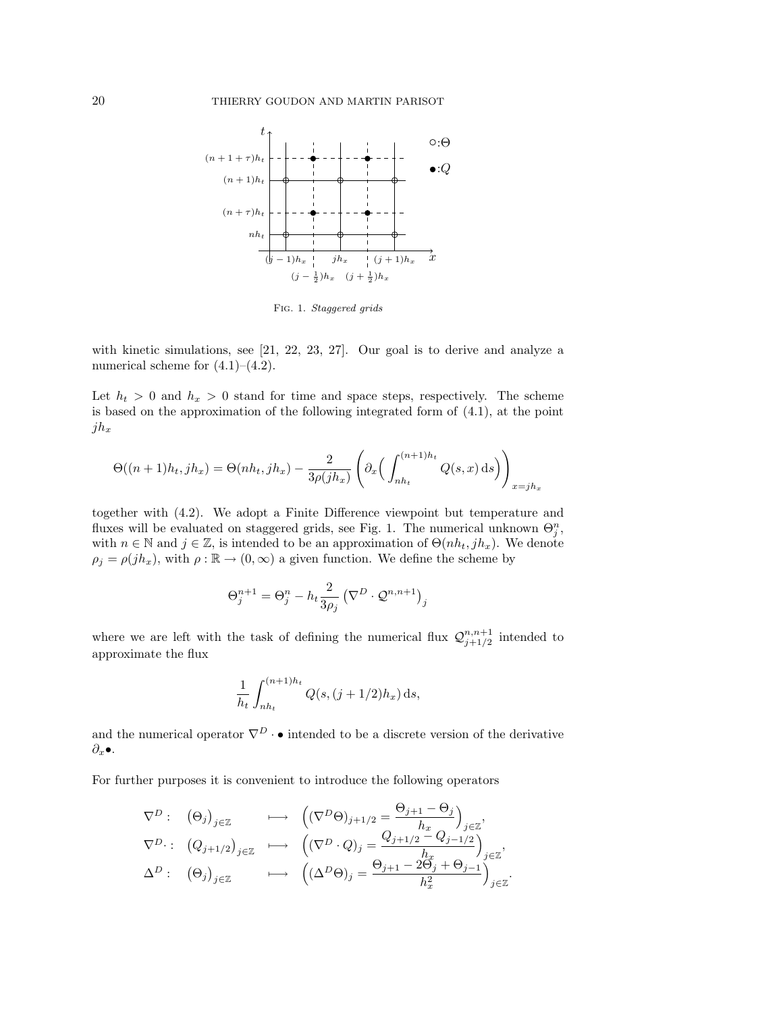

Fig. 1. *Staggered grids*

with kinetic simulations, see [21, 22, 23, 27]. Our goal is to derive and analyze a numerical scheme for (4.1)–(4.2).

Let  $h_t > 0$  and  $h_x > 0$  stand for time and space steps, respectively. The scheme is based on the approximation of the following integrated form of (4.1), at the point  $jh_x$ 

$$
\Theta((n+1)h_t, jh_x) = \Theta(nh_t, jh_x) - \frac{2}{3\rho(jh_x)} \left( \partial_x \left( \int_{nh_t}^{(n+1)h_t} Q(s, x) \, ds \right) \right)_{x=jh_x}
$$

together with  $(4.2)$ . We adopt a Finite Difference viewpoint but temperature and fluxes will be evaluated on staggered grids, see Fig. 1. The numerical unknown  $\Theta_j^n$ , with  $n \in \mathbb{N}$  and  $j \in \mathbb{Z}$ , is intended to be an approximation of  $\Theta(nh_t, jh_x)$ . We denote  $\rho_j = \rho(jh_x)$ , with  $\rho : \mathbb{R} \to (0, \infty)$  a given function. We define the scheme by

$$
\Theta_j^{n+1} = \Theta_j^n - h_t \frac{2}{3\rho_j} \left( \nabla^D \cdot \mathcal{Q}^{n,n+1} \right)_j
$$

where we are left with the task of defining the numerical flux  $\mathcal{Q}_{j+1/2}^{n,n+1}$  intended to approximate the flux

$$
\frac{1}{h_t} \int_{nh_t}^{(n+1)h_t} Q(s, (j+1/2)h_x) \,ds,
$$

and the numerical operator  $\nabla^D \cdot \bullet$  intended to be a discrete version of the derivative  $\partial_x \bullet$ .

For further purposes it is convenient to introduce the following operators

$$
\nabla^{D}: (\Theta_{j})_{j\in\mathbb{Z}} \longrightarrow ((\nabla^{D}\Theta)_{j+1/2} = \frac{\Theta_{j+1} - \Theta_{j}}{h_{x}})_{j\in\mathbb{Z}},
$$
  

$$
\nabla^{D}: (Q_{j+1/2})_{j\in\mathbb{Z}} \longrightarrow ((\nabla^{D} \cdot Q)_{j} = \frac{Q_{j+1/2} - Q_{j-1/2}}{h_{x}})_{j\in\mathbb{Z}},
$$
  

$$
\Delta^{D}: (\Theta_{j})_{j\in\mathbb{Z}} \longrightarrow ((\Delta^{D}\Theta)_{j} = \frac{\Theta_{j+1} - 2\Theta_{j} + \Theta_{j-1}}{h_{x}^{2}})_{j\in\mathbb{Z}}.
$$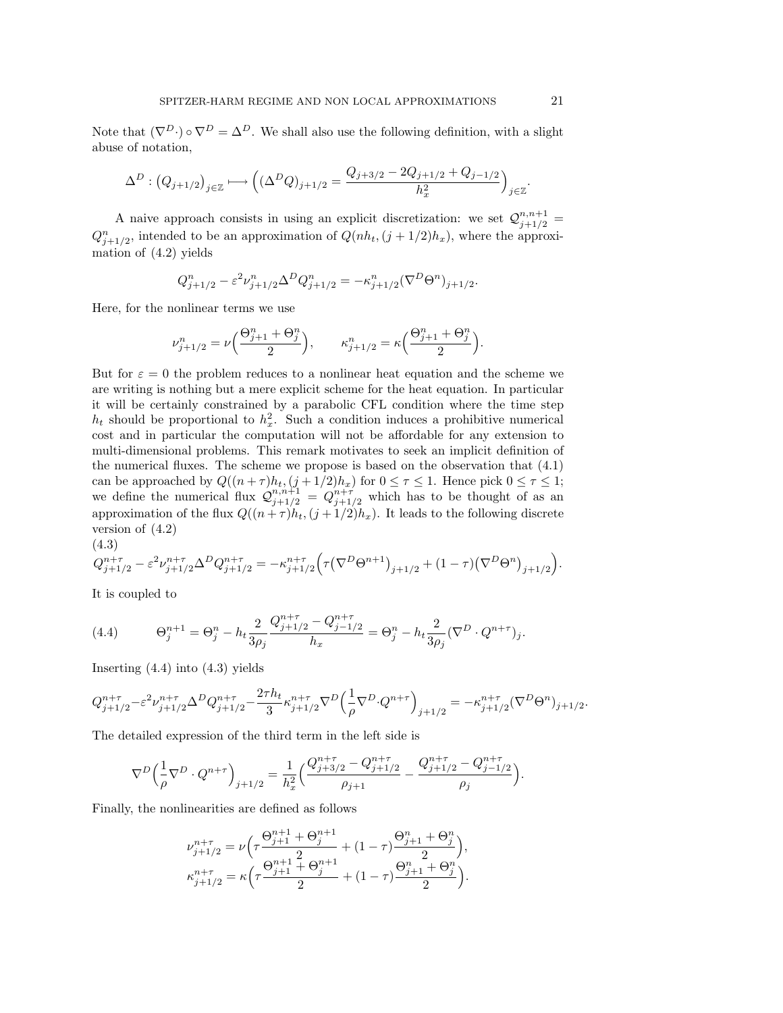Note that  $(\nabla^D \cdot) \circ \nabla^D = \Delta^D$ . We shall also use the following definition, with a slight abuse of notation,

$$
\Delta^D: \left(Q_{j+1/2}\right)_{j\in\mathbb{Z}}\longmapsto \left((\Delta^DQ)_{j+1/2}=\frac{Q_{j+3/2}-2Q_{j+1/2}+Q_{j-1/2}}{h_x^2}\right)_{j\in\mathbb{Z}}.
$$

A naive approach consists in using an explicit discretization: we set  $Q_{j+1/2}^{n,n+1}$  $Q_{j+1/2}^n$ , intended to be an approximation of  $Q(nh_t, (j+1/2)h_x)$ , where the approximation of (4.2) yields

$$
Q_{j+1/2}^n - \varepsilon^2 \nu_{j+1/2}^n \Delta^D Q_{j+1/2}^n = -\kappa_{j+1/2}^n (\nabla^D \Theta^n)_{j+1/2}.
$$

Here, for the nonlinear terms we use

$$
\nu^n_{j+1/2}=\nu\Big(\frac{\Theta_{j+1}^n+\Theta_j^n}{2}\Big),\qquad \kappa^n_{j+1/2}=\kappa\Big(\frac{\Theta_{j+1}^n+\Theta_j^n}{2}\Big).
$$

But for  $\varepsilon = 0$  the problem reduces to a nonlinear heat equation and the scheme we are writing is nothing but a mere explicit scheme for the heat equation. In particular it will be certainly constrained by a parabolic CFL condition where the time step  $h_t$  should be proportional to  $h_x^2$ . Such a condition induces a prohibitive numerical cost and in particular the computation will not be affordable for any extension to multi-dimensional problems. This remark motivates to seek an implicit definition of the numerical fluxes. The scheme we propose is based on the observation that (4.1) can be approached by  $Q((n + \tau)h_t, (j + 1/2)h_x)$  for  $0 \le \tau \le 1$ . Hence pick  $0 \le \tau \le 1$ ; we define the numerical flux  $\mathcal{Q}_{j+1/2}^{n,n+1} = \mathcal{Q}_{j+1/2}^{n+\tau}$  which has to be thought of as an approximation of the flux  $Q((n + \tau)h_t, (j + 1/2)h_x)$ . It leads to the following discrete version of (4.2) (4.3)

$$
Q_{j+1/2}^{n+\tau}-\varepsilon^2\nu_{j+1/2}^{n+\tau}\Delta^DQ_{j+1/2}^{n+\tau}=-\kappa_{j+1/2}^{n+\tau}\Big(\tau\big(\nabla^D\Theta^{n+1}\big)_{j+1/2}+(1-\tau)\big(\nabla^D\Theta^{n}\big)_{j+1/2}\Big).
$$

It is coupled to

(4.4) 
$$
\Theta_j^{n+1} = \Theta_j^n - h_t \frac{2}{3\rho_j} \frac{Q_{j+1/2}^{n+\tau} - Q_{j-1/2}^{n+\tau}}{h_x} = \Theta_j^n - h_t \frac{2}{3\rho_j} (\nabla^D \cdot Q^{n+\tau})_j.
$$

Inserting  $(4.4)$  into  $(4.3)$  yields

$$
Q_{j+1/2}^{n+\tau} - \varepsilon^2 \nu_{j+1/2}^{n+\tau} \Delta^D Q_{j+1/2}^{n+\tau} - \frac{2\tau h_t}{3} \kappa_{j+1/2}^{n+\tau} \nabla^D \Big( \frac{1}{\rho} \nabla^D \cdot Q^{n+\tau} \Big)_{j+1/2} = - \kappa_{j+1/2}^{n+\tau} (\nabla^D \Theta^n)_{j+1/2}.
$$

The detailed expression of the third term in the left side is

$$
\nabla^{D}\left(\frac{1}{\rho}\nabla^{D}\cdot Q^{n+\tau}\right)_{j+1/2} = \frac{1}{h_x^2}\Big(\frac{Q_{j+3/2}^{n+\tau}-Q_{j+1/2}^{n+\tau}}{\rho_{j+1}}-\frac{Q_{j+1/2}^{n+\tau}-Q_{j-1/2}^{n+\tau}}{\rho_j}\Big).
$$

Finally, the nonlinearities are defined as follows

$$
\nu_{j+1/2}^{n+\tau} = \nu \left( \tau \frac{\Theta_{j+1}^{n+1} + \Theta_j^{n+1}}{2} + (1 - \tau) \frac{\Theta_{j+1}^n + \Theta_j^n}{2} \right),
$$
  

$$
\kappa_{j+1/2}^{n+\tau} = \kappa \left( \tau \frac{\Theta_{j+1}^{n+1} + \Theta_j^{n+1}}{2} + (1 - \tau) \frac{\Theta_{j+1}^n + \Theta_j^n}{2} \right).
$$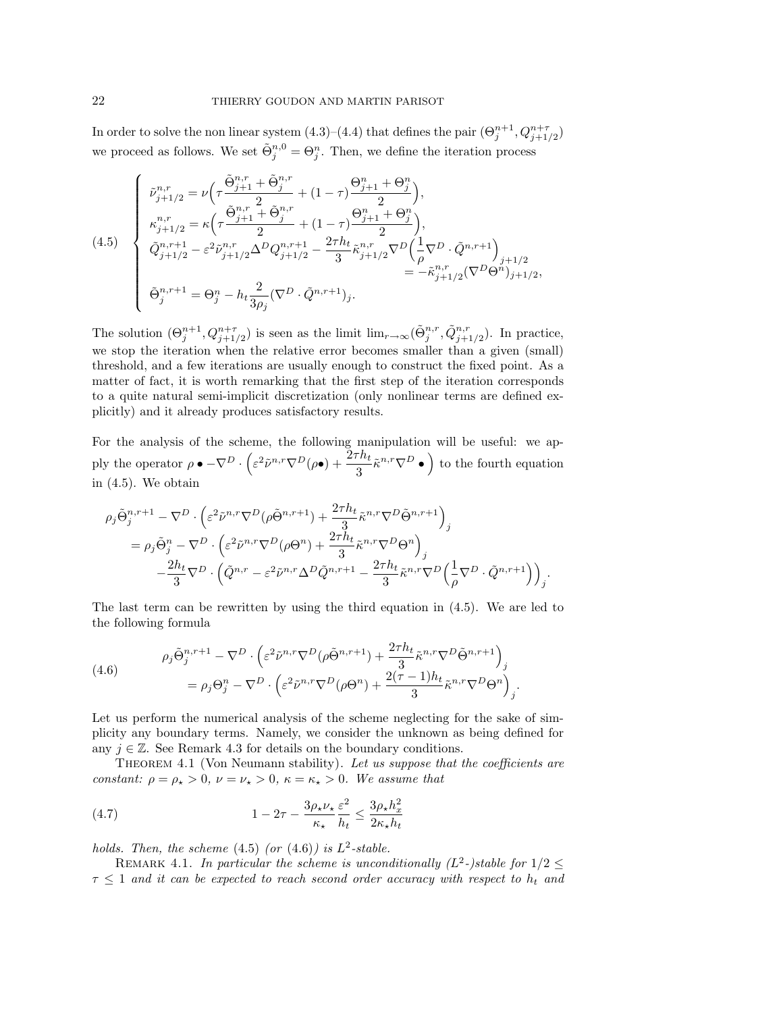In order to solve the non linear system  $(4.3)$ – $(4.4)$  that defines the pair  $(\Theta_j^{n+1}, Q_{j+1/2}^{n+\tau})$ we proceed as follows. We set  $\tilde{\Theta}_j^{n,0} = \Theta_j^n$ . Then, we define the iteration process

$$
(4.5) \quad \begin{cases} \n\tilde{\nu}_{j+1/2}^{n,r} = \nu \Big( \tau \frac{\tilde{\Theta}_{j+1}^{n,r} + \tilde{\Theta}_{j}^{n,r}}{2} + (1 - \tau) \frac{\Theta_{j+1}^{n} + \Theta_{j}^{n}}{2} \Big), \\
\kappa_{j+1/2}^{n,r} = \kappa \Big( \tau \frac{\tilde{\Theta}_{j+1}^{n,r} + \tilde{\Theta}_{j}^{n,r}}{2} + (1 - \tau) \frac{\Theta_{j+1}^{n} + \Theta_{j}^{n}}{2} \Big), \\
\tilde{Q}_{j+1/2}^{n,r+1} - \varepsilon^{2} \tilde{\nu}_{j+1/2}^{n,r} \Delta^{D} Q_{j+1/2}^{n,r+1} - \frac{2\tau h_{t}}{3} \tilde{\kappa}_{j+1/2}^{n,r} \nabla^{D} \Big( \frac{1}{\rho} \nabla^{D} \cdot \tilde{Q}^{n,r+1} \Big)_{j+1/2} \\
\tilde{\Theta}_{j}^{n,r+1} = \Theta_{j}^{n} - h_{t} \frac{2}{3\rho_{j}} (\nabla^{D} \cdot \tilde{Q}^{n,r+1})_{j}.\n\end{cases}
$$

The solution  $(\Theta_j^{n+1}, Q_{j+1/2}^{n+\tau})$  is seen as the limit  $\lim_{r\to\infty} (\tilde{\Theta}_j^{n,r}, \tilde{Q}_{j+1/2}^{n,r})$ . In practice, we stop the iteration when the relative error becomes smaller than a given (small) threshold, and a few iterations are usually enough to construct the fixed point. As a matter of fact, it is worth remarking that the first step of the iteration corresponds to a quite natural semi-implicit discretization (only nonlinear terms are defined explicitly) and it already produces satisfactory results.

For the analysis of the scheme, the following manipulation will be useful: we apply the operator  $\rho \bullet -\nabla^D \cdot \left(\varepsilon^2 \tilde{\nu}^{n,r} \nabla^D (\rho \bullet) + \frac{2\tau h_t}{3} \tilde{\kappa}^{n,r} \nabla^D \bullet \right)$  to the fourth equation in (4.5). We obtain

$$
\begin{split} \rho_j\tilde{\Theta}_j^{n,r+1} & -\nabla^D\cdot\Big(\varepsilon^2\tilde{\nu}^{n,r}\nabla^D(\rho\tilde{\Theta}^{n,r+1})+\frac{2\tau h_t}{3}\tilde{\kappa}^{n,r}\nabla^D\tilde{\Theta}^{n,r+1}\Big)_j\\ & =\rho_j\tilde{\Theta}_j^n-\nabla^D\cdot\Big(\varepsilon^2\tilde{\nu}^{n,r}\nabla^D(\rho\Theta^n)+\frac{2\tau h_t}{3}\tilde{\kappa}^{n,r}\nabla^D\Theta^n\Big)_j\\ & -\frac{2h_t}{3}\nabla^D\cdot\Big(\tilde{Q}^{n,r}-\varepsilon^2\tilde{\nu}^{n,r}\Delta^D\tilde{Q}^{n,r+1}-\frac{2\tau h_t}{3}\tilde{\kappa}^{n,r}\nabla^D\Big(\frac{1}{\rho}\nabla^D\cdot\tilde{Q}^{n,r+1}\Big)\Big)_j. \end{split}
$$

The last term can be rewritten by using the third equation in (4.5). We are led to the following formula

(4.6)  
\n
$$
\rho_j \tilde{\Theta}_j^{n,r+1} - \nabla^D \cdot \left( \varepsilon^2 \tilde{\nu}^{n,r} \nabla^D (\rho \tilde{\Theta}^{n,r+1}) + \frac{2\tau h_t}{3} \tilde{\kappa}^{n,r} \nabla^D \tilde{\Theta}^{n,r+1} \right)_j
$$
\n
$$
= \rho_j \Theta_j^n - \nabla^D \cdot \left( \varepsilon^2 \tilde{\nu}^{n,r} \nabla^D (\rho \Theta^n) + \frac{2(\tau - 1)h_t}{3} \tilde{\kappa}^{n,r} \nabla^D \Theta^n \right)_j.
$$

Let us perform the numerical analysis of the scheme neglecting for the sake of simplicity any boundary terms. Namely, we consider the unknown as being defined for any  $j \in \mathbb{Z}$ . See Remark 4.3 for details on the boundary conditions.

Theorem 4.1 (Von Neumann stability). *Let us suppose that the coecients are constant:*  $\rho = \rho_{\star} > 0$ ,  $\nu = \nu_{\star} > 0$ ,  $\kappa = \kappa_{\star} > 0$ . We assume that

(4.7) 
$$
1 - 2\tau - \frac{3\rho_{\star}\nu_{\star}}{\kappa_{\star}}\frac{\varepsilon^2}{h_t} \le \frac{3\rho_{\star}h_x^2}{2\kappa_{\star}h_t}
$$

*holds. Then, the scheme*  $(4.5)$  *(or*  $(4.6)$ *) is*  $L^2$ -stable.

REMARK 4.1. In particular the scheme is unconditionally  $(L^2$ -)stable for  $1/2 \leq$  $\tau \leq 1$  and it can be expected to reach second order accuracy with respect to  $h_t$  and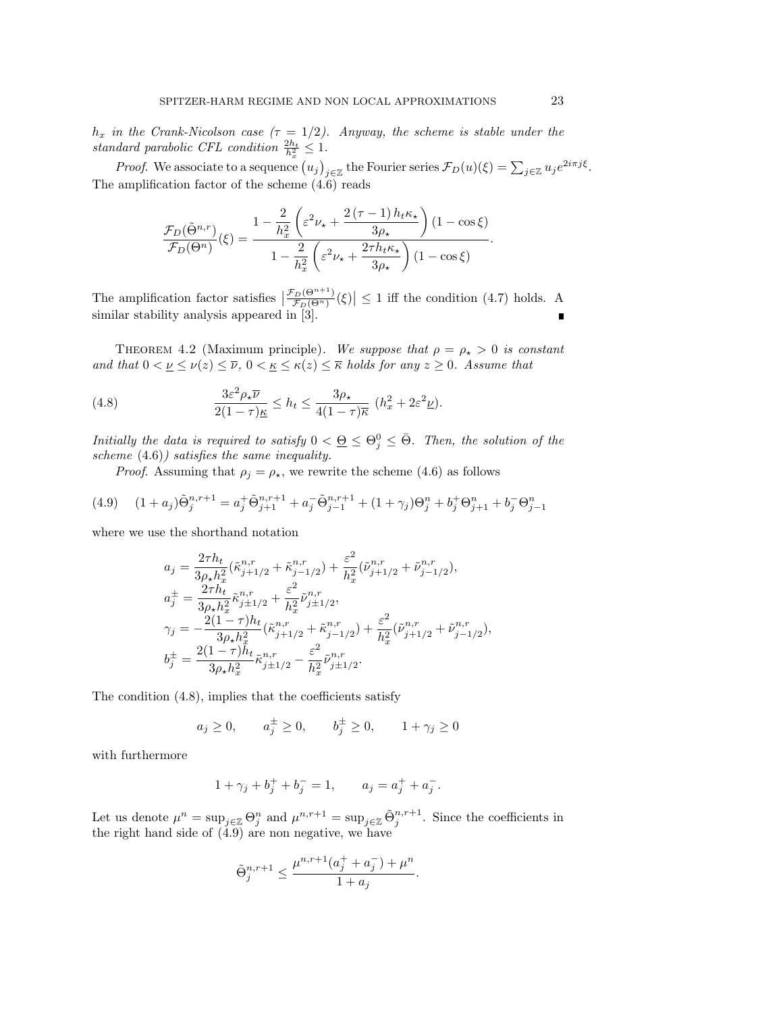$h_x$  *in the Crank-Nicolson case*  $(\tau = 1/2)$ *. Anyway, the scheme is stable under the standard parabolic CFL condition*  $\frac{2h_t}{h_x^2} \leq 1$ .

*Proof.* We associate to a sequence  $(u_j)_{j \in \mathbb{Z}}$  the Fourier series  $\mathcal{F}_D(u)(\xi) = \sum_{j \in \mathbb{Z}} u_j e^{2i\pi j\xi}$ . The amplification factor of the scheme (4.6) reads

$$
\frac{\mathcal{F}_D(\tilde{\Theta}^{n,r})}{\mathcal{F}_D(\Theta^n)}(\xi) = \frac{1 - \frac{2}{h_x^2} \left(\varepsilon^2 \nu_\star + \frac{2 \left(\tau - 1\right) h_t \kappa_\star}{3 \rho_\star} \right) \left(1 - \cos \xi\right)}{1 - \frac{2}{h_x^2} \left(\varepsilon^2 \nu_\star + \frac{2 \tau h_t \kappa_\star}{3 \rho_\star} \right) \left(1 - \cos \xi\right)}
$$

The amplification factor satisfies  $\left|\frac{\mathcal{F}_D(\Theta^{n+1})}{\mathcal{F}_D(\Theta^n)}(\xi)\right| \leq 1$  iff the condition (4.7) holds. A similar stability analysis appeared in [3].

THEOREM 4.2 (Maximum principle). We suppose that  $\rho = \rho_* > 0$  is constant *and that*  $0 < \underline{\nu} \leq \nu(z) \leq \overline{\nu}$ ,  $0 < \underline{\kappa} \leq \kappa(z) \leq \overline{\kappa}$  holds for any  $z \geq 0$ . Assume that

(4.8) 
$$
\frac{3\varepsilon^2 \rho_\star \overline{\nu}}{2(1-\tau)\underline{\kappa}} \le h_t \le \frac{3\rho_\star}{4(1-\tau)\overline{\kappa}} \ (h_x^2 + 2\varepsilon^2 \underline{\nu}).
$$

*Initially the data is required to satisfy*  $0 < \underline{\Theta} \leq \Theta_j^0 \leq \overline{\Theta}$ *. Then, the solution of the scheme* (4.6)*) satisfies the same inequality.*

*Proof.* Assuming that  $\rho_j = \rho_*$ , we rewrite the scheme (4.6) as follows

$$
(4.9) \quad (1+a_j)\tilde{\Theta}_j^{n,r+1} = a_j^+ \tilde{\Theta}_{j+1}^{n,r+1} + a_j^- \tilde{\Theta}_{j-1}^{n,r+1} + (1+\gamma_j)\Theta_j^n + b_j^+ \Theta_{j+1}^n + b_j^- \Theta_{j-1}^n
$$

where we use the shorthand notation

$$
a_j = \frac{2\tau h_t}{3\rho_\star h_x^2} (\tilde{\kappa}_{j+1/2}^{n,r} + \tilde{\kappa}_{j-1/2}^{n,r}) + \frac{\varepsilon^2}{h_x^2} (\tilde{\nu}_{j+1/2}^{n,r} + \tilde{\nu}_{j-1/2}^{n,r}),
$$
  
\n
$$
a_j^{\pm} = \frac{2\tau h_t}{3\rho_\star h_x^2} \tilde{\kappa}_{j\pm 1/2}^{n,r} + \frac{\varepsilon^2}{h_x^2} \tilde{\nu}_{j\pm 1/2}^{n,r},
$$
  
\n
$$
\gamma_j = -\frac{2(1-\tau)h_t}{3\rho_\star h_x^2} (\tilde{\kappa}_{j+1/2}^{n,r} + \tilde{\kappa}_{j-1/2}^{n,r}) + \frac{\varepsilon^2}{h_x^2} (\tilde{\nu}_{j+1/2}^{n,r} + \tilde{\nu}_{j-1/2}^{n,r}),
$$
  
\n
$$
b_j^{\pm} = \frac{2(1-\tau)h_t}{3\rho_\star h_x^2} \tilde{\kappa}_{j\pm 1/2}^{n,r} - \frac{\varepsilon^2}{h_x^2} \tilde{\nu}_{j\pm 1/2}^{n,r}.
$$

The condition  $(4.8)$ , implies that the coefficients satisfy

$$
a_j \ge 0
$$
,  $a_j^{\pm} \ge 0$ ,  $b_j^{\pm} \ge 0$ ,  $1 + \gamma_j \ge 0$ 

with furthermore

$$
1 + \gamma_j + b_j^+ + b_j^- = 1, \qquad a_j = a_j^+ + a_j^-.
$$

Let us denote  $\mu^n = \sup_{j \in \mathbb{Z}} \Theta_j^n$  and  $\mu^{n,r+1} = \sup_{j \in \mathbb{Z}} \tilde{\Theta}_j^{n,r+1}$ . Since the coefficients in the right hand side of (4.9) are non negative, we have

$$
\tilde{\Theta}_j^{n,r+1} \leq \frac{\mu^{n,r+1}(a_j^+ + a_j^-) + \mu^n}{1 + a_j}.
$$

*.*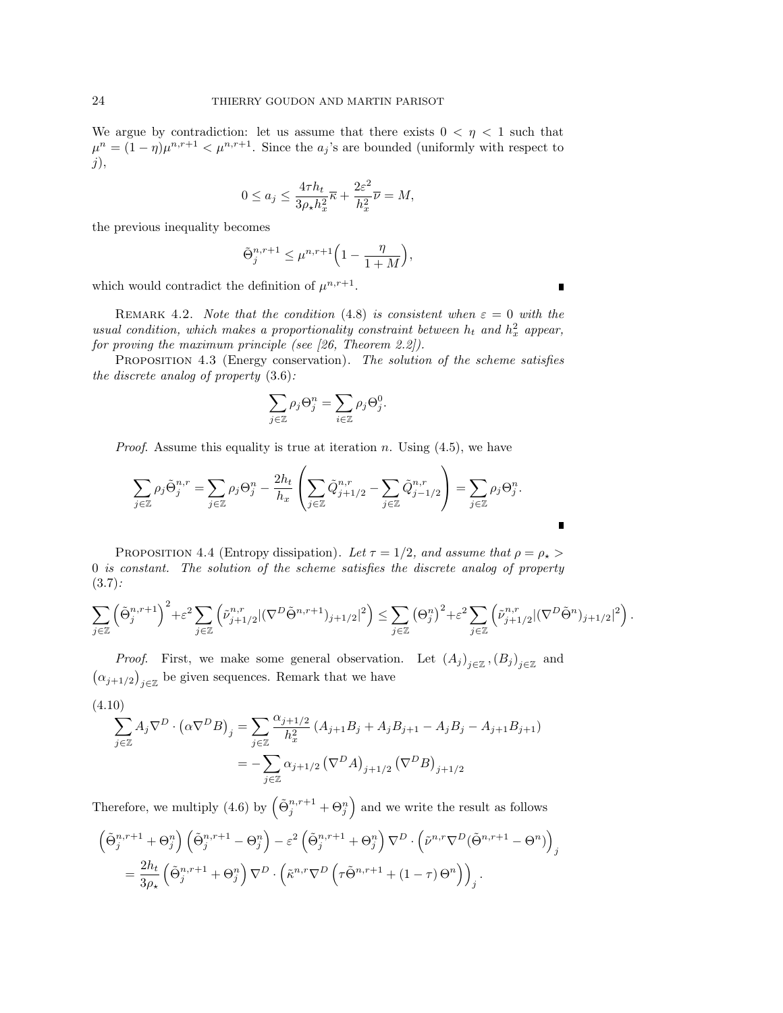We argue by contradiction: let us assume that there exists  $0 < \eta < 1$  such that  $\mu^{n} = (1 - \eta)\mu^{n,r+1} < \mu^{n,r+1}$ . Since the *a<sub>j</sub>*'s are bounded (uniformly with respect to *j*),

$$
0 \le a_j \le \frac{4\tau h_t}{3\rho_\star h_x^2} \overline{\kappa} + \frac{2\varepsilon^2}{h_x^2} \overline{\nu} = M,
$$

the previous inequality becomes

$$
\tilde{\Theta}_j^{n,r+1} \le \mu^{n,r+1} \left( 1 - \frac{\eta}{1+M} \right),\,
$$

which would contradict the definition of  $\mu^{n,r+1}$ .

REMARK 4.2. *Note that the condition* (4.8) *is consistent when*  $\varepsilon = 0$  *with the usual condition, which makes a proportionality constraint between*  $h_t$  and  $h_x$ <sup>2</sup> appear, *for proving the maximum principle (see [26, Theorem 2.2]).*

Proposition 4.3 (Energy conservation). *The solution of the scheme satisfies the discrete analog of property* (3.6)*:*

$$
\sum_{j\in\mathbb{Z}}\rho_j\Theta_j^n=\sum_{i\in\mathbb{Z}}\rho_j\Theta_j^0.
$$

*Proof*. Assume this equality is true at iteration *n*. Using (4.5), we have

$$
\sum_{j\in\mathbb{Z}}\rho_j\tilde{\Theta}_j^{n,r}=\sum_{j\in\mathbb{Z}}\rho_j\Theta_j^n-\frac{2h_t}{h_x}\left(\sum_{j\in\mathbb{Z}}\tilde{Q}_{j+1/2}^{n,r}-\sum_{j\in\mathbb{Z}}\tilde{Q}_{j-1/2}^{n,r}\right)=\sum_{j\in\mathbb{Z}}\rho_j\Theta_j^n.
$$

PROPOSITION 4.4 (Entropy dissipation). Let  $\tau = 1/2$ , and assume that  $\rho = \rho_{\star} >$ 0 *is constant. The solution of the scheme satisfies the discrete analog of property* (3.7)*:*

$$
\sum_{j\in\mathbb{Z}}\left(\tilde{\Theta}_j^{n,r+1}\right)^2+\varepsilon^2\sum_{j\in\mathbb{Z}}\left(\tilde{\nu}_{j+1/2}^{n,r}|(\nabla^D\tilde{\Theta}^{n,r+1})_{j+1/2}|^2\right)\leq \sum_{j\in\mathbb{Z}}\left(\Theta_j^n\right)^2+\varepsilon^2\sum_{j\in\mathbb{Z}}\left(\tilde{\nu}_{j+1/2}^{n,r}|(\nabla^D\tilde{\Theta}^n)_{j+1/2}|^2\right).
$$

*Proof.* First, we make some general observation. Let  $(A_j)_{j \in \mathbb{Z}}$ ,  $(B_j)_{j \in \mathbb{Z}}$  and  $\left(\alpha_{j+1/2}\right)_{j\in\mathbb{Z}}$  be given sequences. Remark that we have

$$
(4.10)
$$

$$
\sum_{j \in \mathbb{Z}} A_j \nabla^D \cdot (\alpha \nabla^D B)_j = \sum_{j \in \mathbb{Z}} \frac{\alpha_{j+1/2}}{h_x^2} (A_{j+1} B_j + A_j B_{j+1} - A_j B_j - A_{j+1} B_{j+1})
$$
  
= 
$$
-\sum_{j \in \mathbb{Z}} \alpha_{j+1/2} (\nabla^D A)_{j+1/2} (\nabla^D B)_{j+1/2}
$$

Therefore, we multiply (4.6) by  $(\tilde{\Theta}_j^{n,r+1} + \Theta_j^n)$  and we write the result as follows

$$
\begin{split} &\left(\tilde{\Theta}_j^{n,r+1}+\Theta_j^n\right)\left(\tilde{\Theta}_j^{n,r+1}-\Theta_j^n\right)-\varepsilon^2\left(\tilde{\Theta}_j^{n,r+1}+\Theta_j^n\right)\nabla^D\cdot\left(\tilde{\nu}^{n,r}\nabla^D(\tilde{\Theta}^{n,r+1}-\Theta^n)\right)_j\\ &=\frac{2h_t}{3\rho_\star}\left(\tilde{\Theta}_j^{n,r+1}+\Theta_j^n\right)\nabla^D\cdot\left(\tilde{\kappa}^{n,r}\nabla^D\left(\tau\tilde{\Theta}^{n,r+1}+(1-\tau)\,\Theta^n\right)\right)_j. \end{split}
$$

п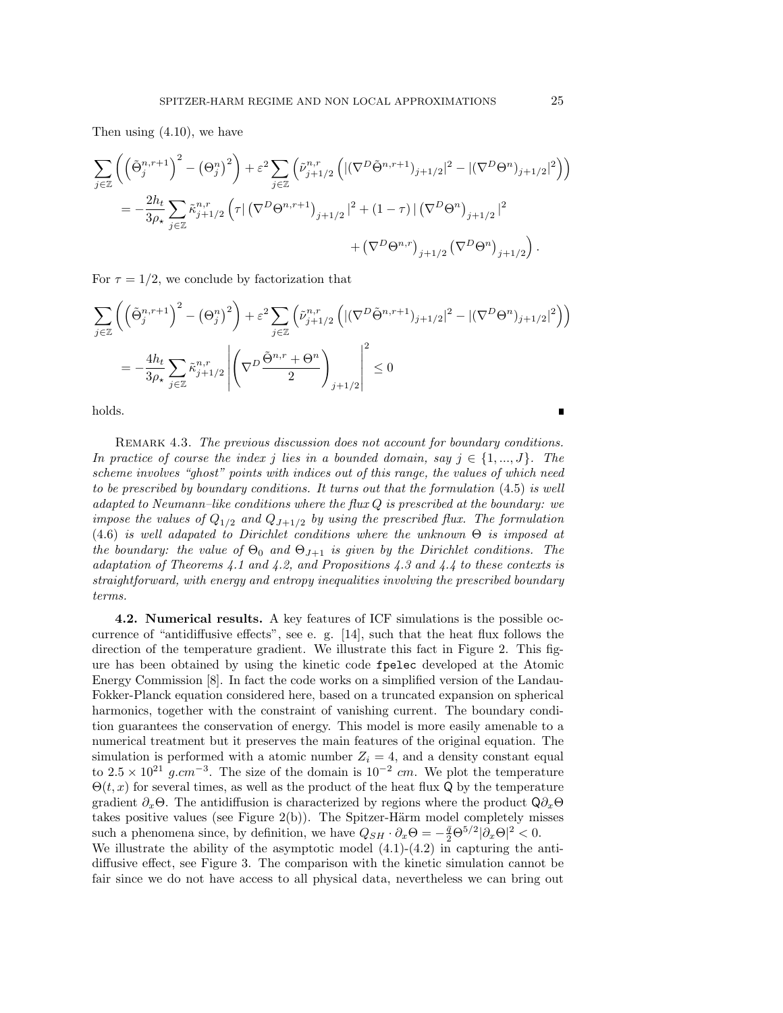Then using (4.10), we have

$$
\sum_{j\in\mathbb{Z}}\left(\left(\tilde{\Theta}_{j}^{n,r+1}\right)^{2}-\left(\Theta_{j}^{n}\right)^{2}\right)+\varepsilon^{2}\sum_{j\in\mathbb{Z}}\left(\tilde{\nu}_{j+1/2}^{n,r}\left(\left|\left(\nabla^{D}\tilde{\Theta}^{n,r+1}\right)_{j+1/2}\right|^{2}-\left|\left(\nabla^{D}\Theta^{n}\right)_{j+1/2}\right|^{2}\right)\right)
$$
\n
$$
=-\frac{2h_{t}}{3\rho_{\star}}\sum_{j\in\mathbb{Z}}\tilde{\kappa}_{j+1/2}^{n,r}\left(\tau\right)\left(\nabla^{D}\Theta^{n,r+1}\right)_{j+1/2}\left|^{2}+\left(1-\tau\right)\right|\left(\nabla^{D}\Theta^{n}\right)_{j+1/2}\left|^{2}\right.\right.
$$
\n
$$
+\left(\nabla^{D}\Theta^{n,r}\right)_{j+1/2}\left(\nabla^{D}\Theta^{n}\right)_{j+1/2}\right).
$$

For  $\tau = 1/2$ , we conclude by factorization that

$$
\sum_{j\in\mathbb{Z}}\left(\left(\tilde{\Theta}_{j}^{n,r+1}\right)^{2}-\left(\Theta_{j}^{n}\right)^{2}\right)+\varepsilon^{2}\sum_{j\in\mathbb{Z}}\left(\tilde{\nu}_{j+1/2}^{n,r}\left(\left|\left(\nabla^{D}\tilde{\Theta}^{n,r+1}\right)_{j+1/2}\right|^{2}-\left|\left(\nabla^{D}\Theta^{n}\right)_{j+1/2}\right|^{2}\right)\right)
$$
\n
$$
=-\frac{4h_{t}}{3\rho_{\star}}\sum_{j\in\mathbb{Z}}\tilde{\kappa}_{j+1/2}^{n,r}\left|\left(\nabla^{D}\frac{\tilde{\Theta}^{n,r}+\Theta^{n}}{2}\right)_{j+1/2}\right|^{2}\leq0
$$

holds.

Remark 4.3. *The previous discussion does not account for boundary conditions. In practice of course the index j lies in a bounded domain, say*  $j \in \{1, ..., J\}$ *. The scheme involves "ghost" points with indices out of this range, the values of which need to be prescribed by boundary conditions. It turns out that the formulation* (4.5) *is well adapted to Neumann–like conditions where the flux Q is prescribed at the boundary: we impose the values of*  $Q_{1/2}$  *and*  $Q_{J+1/2}$  *by using the prescribed flux. The formulation*  $(4.6)$  *is well adapated to Dirichlet conditions where the unknown*  $\Theta$  *is imposed at the boundary: the value of*  $\Theta_0$  *and*  $\Theta_{J+1}$  *is given by the Dirichlet conditions. The adaptation of Theorems 4.1 and 4.2, and Propositions 4.3 and 4.4 to these contexts is straightforward, with energy and entropy inequalities involving the prescribed boundary terms.*

4.2. Numerical results. A key features of ICF simulations is the possible occurrence of "antidiffusive effects", see e. g.  $[14]$ , such that the heat flux follows the direction of the temperature gradient. We illustrate this fact in Figure 2. This figure has been obtained by using the kinetic code fpelec developed at the Atomic Energy Commission [8]. In fact the code works on a simplified version of the Landau-Fokker-Planck equation considered here, based on a truncated expansion on spherical harmonics, together with the constraint of vanishing current. The boundary condition guarantees the conservation of energy. This model is more easily amenable to a numerical treatment but it preserves the main features of the original equation. The simulation is performed with a atomic number  $Z_i = 4$ , and a density constant equal to  $2.5 \times 10^{21}$  g.cm<sup>-3</sup>. The size of the domain is  $10^{-2}$  cm. We plot the temperature  $\Theta(t, x)$  for several times, as well as the product of the heat flux Q by the temperature gradient  $\partial_x \Theta$ . The antidiffusion is characterized by regions where the product  $\mathsf{Q} \partial_x \Theta$ takes positive values (see Figure  $2(b)$ ). The Spitzer-Härm model completely misses such a phenomena since, by definition, we have  $Q_{SH} \cdot \partial_x \Theta = -\frac{\bar{q}}{2} \Theta^{5/2} |\partial_x \Theta|^2 < 0.$ We illustrate the ability of the asymptotic model  $(4.1)-(4.2)$  in capturing the anti-

diffusive effect, see Figure 3. The comparison with the kinetic simulation cannot be fair since we do not have access to all physical data, nevertheless we can bring out

Г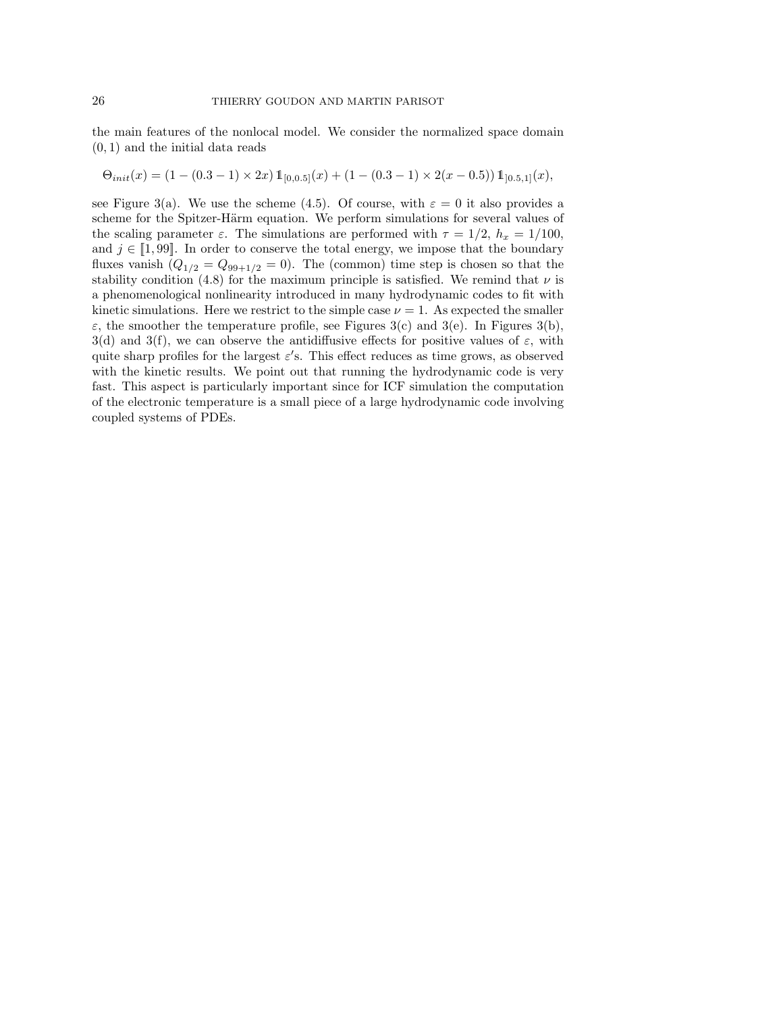the main features of the nonlocal model. We consider the normalized space domain (0*,* 1) and the initial data reads

$$
\Theta_{init}(x) = \left(1 - (0.3 - 1) \times 2x \right) 1\hspace{-0.5mm}{1}_{[0,0.5]}(x) + \left(1 - (0.3 - 1) \times 2(x - 0.5) \right) 1\hspace{-0.5mm}{1}_{[0.5,1]}(x),
$$

see Figure 3(a). We use the scheme (4.5). Of course, with  $\varepsilon = 0$  it also provides a scheme for the Spitzer-Härm equation. We perform simulations for several values of the scaling parameter  $\varepsilon$ . The simulations are performed with  $\tau = 1/2$ ,  $h_x = 1/100$ , and  $j \in [1, 99]$ . In order to conserve the total energy, we impose that the boundary fluxes vanish  $(Q_{1/2} = Q_{99+1/2} = 0)$ . The (common) time step is chosen so that the stability condition (4.8) for the maximum principle is satisfied. We remind that  $\nu$  is a phenomenological nonlinearity introduced in many hydrodynamic codes to fit with kinetic simulations. Here we restrict to the simple case  $\nu = 1$ . As expected the smaller  $\varepsilon$ , the smoother the temperature profile, see Figures 3(c) and 3(e). In Figures 3(b),  $3(d)$  and  $3(f)$ , we can observe the antidiffusive effects for positive values of  $\varepsilon$ , with quite sharp profiles for the largest  $\varepsilon$ 's. This effect reduces as time grows, as observed with the kinetic results. We point out that running the hydrodynamic code is very fast. This aspect is particularly important since for ICF simulation the computation of the electronic temperature is a small piece of a large hydrodynamic code involving coupled systems of PDEs.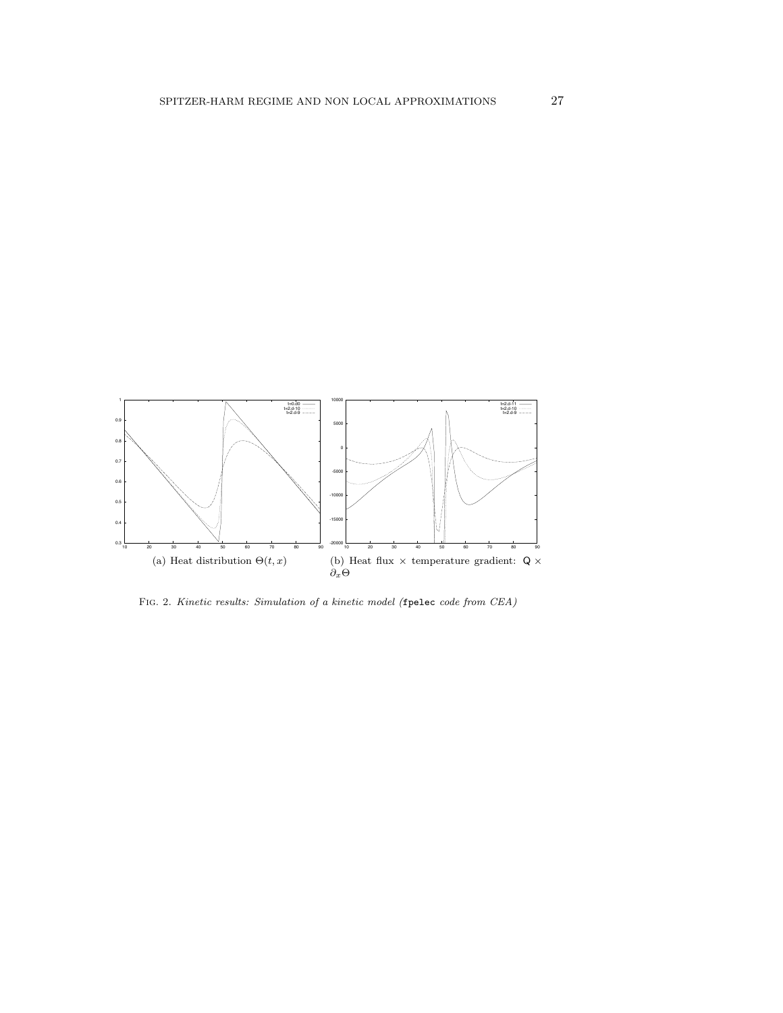

Fig. 2. *Kinetic results: Simulation of a kinetic model (*fpelec *code from CEA)*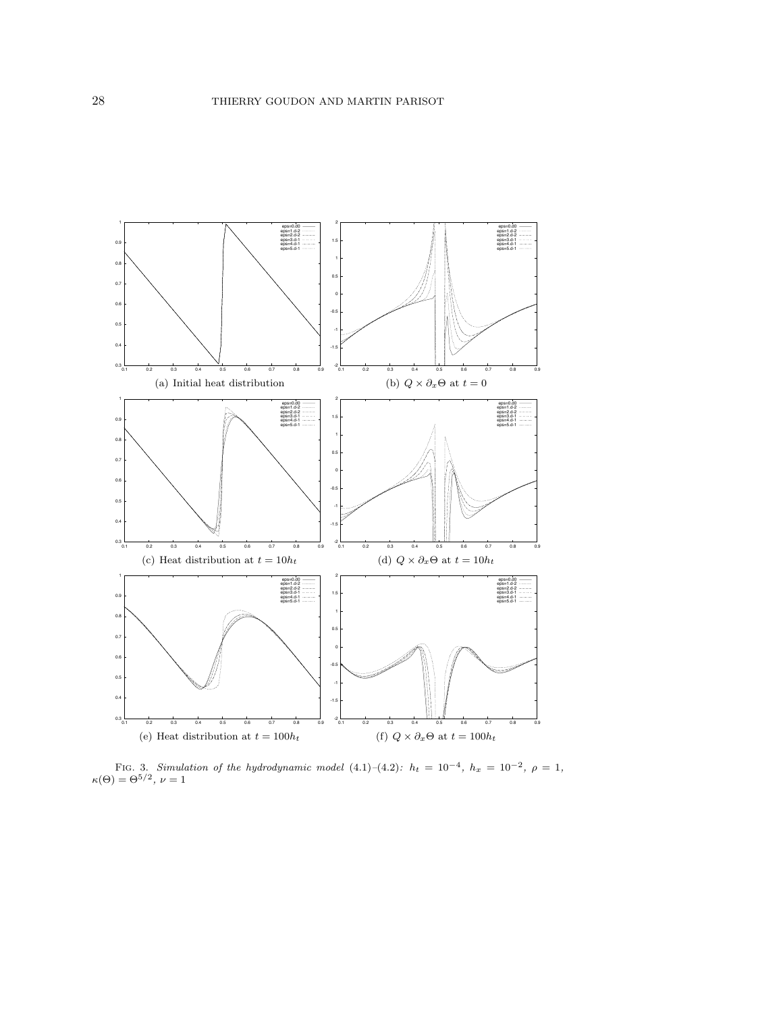

FIG. 3. *Simulation of the hydrodynamic model*  $(4.1)-(4.2)$ *:*  $h_t = 10^{-4}$ ,  $h_x = 10^{-2}$ ,  $\rho = 1$ ,  $\kappa(\Theta) = \Theta^{5/2}, \nu = 1$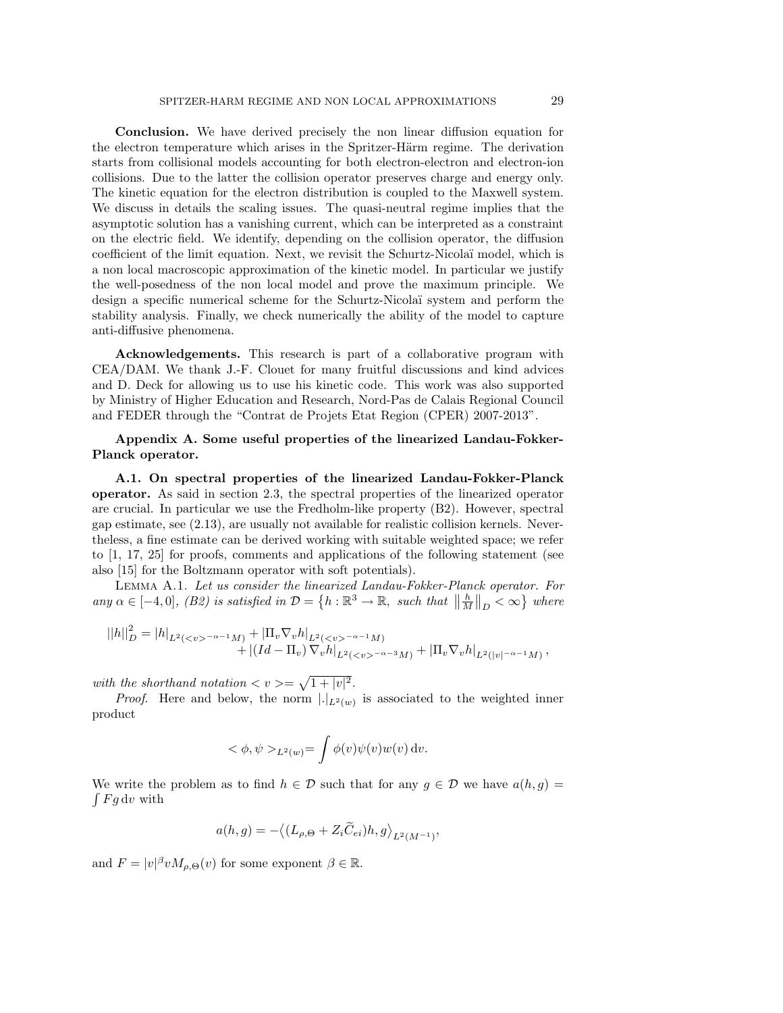Conclusion. We have derived precisely the non linear diffusion equation for the electron temperature which arises in the Spritzer-Härm regime. The derivation starts from collisional models accounting for both electron-electron and electron-ion collisions. Due to the latter the collision operator preserves charge and energy only. The kinetic equation for the electron distribution is coupled to the Maxwell system. We discuss in details the scaling issues. The quasi-neutral regime implies that the asymptotic solution has a vanishing current, which can be interpreted as a constraint on the electric field. We identify, depending on the collision operator, the diffusion coefficient of the limit equation. Next, we revisit the Schurtz-Nicolaï model, which is a non local macroscopic approximation of the kinetic model. In particular we justify the well-posedness of the non local model and prove the maximum principle. We design a specific numerical scheme for the Schurtz-Nicola¨ı system and perform the stability analysis. Finally, we check numerically the ability of the model to capture anti-diffusive phenomena.

Acknowledgements. This research is part of a collaborative program with CEA/DAM. We thank J.-F. Clouet for many fruitful discussions and kind advices and D. Deck for allowing us to use his kinetic code. This work was also supported by Ministry of Higher Education and Research, Nord-Pas de Calais Regional Council and FEDER through the "Contrat de Projets Etat Region (CPER) 2007-2013".

## Appendix A. Some useful properties of the linearized Landau-Fokker-Planck operator.

A.1. On spectral properties of the linearized Landau-Fokker-Planck operator. As said in section 2.3, the spectral properties of the linearized operator are crucial. In particular we use the Fredholm-like property (B2). However, spectral gap estimate, see (2.13), are usually not available for realistic collision kernels. Nevertheless, a fine estimate can be derived working with suitable weighted space; we refer to [1, 17, 25] for proofs, comments and applications of the following statement (see also [15] for the Boltzmann operator with soft potentials).

Lemma A.1. *Let us consider the linearized Landau-Fokker-Planck operator. For*  $any \alpha \in [-4, 0], (B2) \text{ is satisfied in } \mathcal{D} = \{h : \mathbb{R}^3 \to \mathbb{R}, \text{ such that } \left\| \frac{h}{M} \right\|_D < \infty \} \text{ where }$ 

$$
||h||_D^2 = |h|_{L^2(^{-\alpha-1}M)} + |\Pi_v \nabla_v h|_{L^2(^{-\alpha-1}M)} + |(Id - \Pi_v) \nabla_v h|_{L^2(^{-\alpha-3}M)} + |\Pi_v \nabla_v h|_{L^2(|v|^{-\alpha-1}M)},
$$

with the shorthand notation  $\langle v \rangle = \sqrt{1 + |v|^2}$ .

*Proof.* Here and below, the norm  $|.|_{L^2(w)}$  is associated to the weighted inner product

$$
<\phi, \psi>_{L^2(w)} = \int \phi(v)\psi(v)w(v) dv.
$$

We write the problem as to find  $h \in \mathcal{D}$  such that for any  $g \in \mathcal{D}$  we have  $a(h, g)$  $\int F g dv$  with

$$
a(h,g) = -\big\langle (L_{\rho,\Theta} + Z_i \widetilde{C}_{ei})h, g \big\rangle_{L^2(M^{-1})},
$$

and  $F = |v|^\beta v M_{\rho,\Theta}(v)$  for some exponent  $\beta \in \mathbb{R}$ .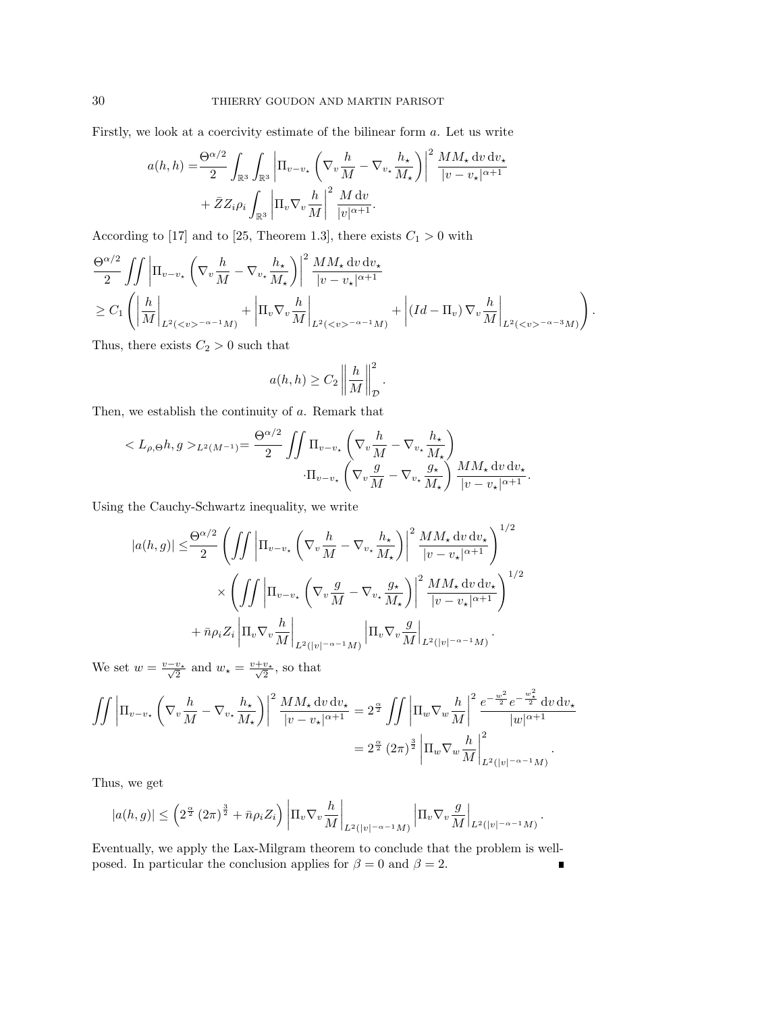Firstly, we look at a coercivity estimate of the bilinear form *a*. Let us write

$$
a(h, h) = \frac{\Theta^{\alpha/2}}{2} \int_{\mathbb{R}^3} \int_{\mathbb{R}^3} \left| \Pi_{v-v_*} \left( \nabla_v \frac{h}{M} - \nabla_{v_*} \frac{h_*}{M_*} \right) \right|^2 \frac{MM_* \, dv \, dv_*}{|v - v_*|^{\alpha + 1}} + \bar{Z} Z_i \rho_i \int_{\mathbb{R}^3} \left| \Pi_v \nabla_v \frac{h}{M} \right|^2 \frac{M \, dv}{|v|^{\alpha + 1}}.
$$

According to [17] and to [25, Theorem 1.3], there exists  $C_1 > 0$  with

$$
\frac{\Theta^{\alpha/2}}{2} \iint \left| \Pi_{v-v_{\star}} \left( \nabla_v \frac{h}{M} - \nabla_{v_{\star}} \frac{h_{\star}}{M_{\star}} \right) \right|^{2} \frac{MM_{\star} \, dv \, dv_{\star}}{|v - v_{\star}|^{\alpha + 1}} \n\geq C_{1} \left( \left| \frac{h}{M} \right|_{L^{2}(\langle v \rangle^{-\alpha - 1} M)} + \left| \Pi_{v} \nabla_{v} \frac{h}{M} \right|_{L^{2}(\langle v \rangle^{-\alpha - 1} M)} + \left| (Id - \Pi_{v}) \nabla_{v} \frac{h}{M} \right|_{L^{2}(\langle v \rangle^{-\alpha - 3} M)} \right).
$$

*.*

Thus, there exists  $C_2 > 0$  such that

$$
a(h, h) \ge C_2 \left\| \frac{h}{M} \right\|_{\mathcal{D}}^2
$$

Then, we establish the continuity of *a*. Remark that

$$
\langle L_{\rho,\Theta}h, g \rangle_{L^2(M^{-1})} = \frac{\Theta^{\alpha/2}}{2} \iint \Pi_{v-v_\star} \left( \nabla_v \frac{h}{M} - \nabla_{v_\star} \frac{h_\star}{M_\star} \right) \cdot \Pi_{v-v_\star} \left( \nabla_v \frac{g}{M} - \nabla_{v_\star} \frac{g_\star}{M_\star} \right) \frac{MM_\star \, dv \, dv_\star}{|v - v_\star|^{\alpha + 1}}.
$$

Using the Cauchy-Schwartz inequality, we write

$$
|a(h,g)| \leq \frac{\Theta^{\alpha/2}}{2} \left( \int \int \left| \Pi_{v-v_{\star}} \left( \nabla_v \frac{h}{M} - \nabla_{v_{\star}} \frac{h_{\star}}{M_{\star}} \right) \right|^2 \frac{MM_{\star} dv dv_{\star}}{|v - v_{\star}|^{\alpha + 1}} \right)^{1/2} \times \left( \int \int \left| \Pi_{v-v_{\star}} \left( \nabla_v \frac{g}{M} - \nabla_{v_{\star}} \frac{g_{\star}}{M_{\star}} \right) \right|^2 \frac{MM_{\star} dv dv_{\star}}{|v - v_{\star}|^{\alpha + 1}} \right)^{1/2} + \bar{n} \rho_i Z_i \left| \Pi_v \nabla_v \frac{h}{M} \right|_{L^2(|v|^{-\alpha - 1}M)} \left| \Pi_v \nabla_v \frac{g}{M} \right|_{L^2(|v|^{-\alpha - 1}M)}.
$$

We set  $w = \frac{v - v_{\star}}{\sqrt{2}}$  and  $w_{\star} = \frac{v + v_{\star}}{\sqrt{2}}$ , so that

$$
\iint \left| \Pi_{v-v_{\star}} \left( \nabla_v \frac{h}{M} - \nabla_{v_{\star}} \frac{h_{\star}}{M_{\star}} \right) \right|^2 \frac{MM_{\star} dv dv_{\star}}{|v - v_{\star}|^{\alpha + 1}} = 2^{\frac{\alpha}{2}} \iint \left| \Pi_w \nabla_w \frac{h}{M} \right|^2 \frac{e^{-\frac{w^2}{2}} e^{-\frac{w_{\star}^2}{2}} dv dv_{\star}}{|w|^{\alpha + 1}} = 2^{\frac{\alpha}{2}} (2\pi)^{\frac{3}{2}} \left| \Pi_w \nabla_w \frac{h}{M} \right|^2_{L^2(|v|^{-\alpha - 1}M)}.
$$

Thus, we get

$$
|a(h,g)| \leq \left(2^{\frac{\alpha}{2}}\left(2\pi\right)^{\frac{3}{2}}+\bar{n}\rho_i Z_i\right)\left|\Pi_v\nabla_v\frac{h}{M}\right|_{L^2(|v|^{-\alpha-1}M)}\left|\Pi_v\nabla_v\frac{g}{M}\right|_{L^2(|v|^{-\alpha-1}M)}.
$$

Eventually, we apply the Lax-Milgram theorem to conclude that the problem is wellposed. In particular the conclusion applies for  $\beta = 0$  and  $\beta = 2$ .  $\blacksquare$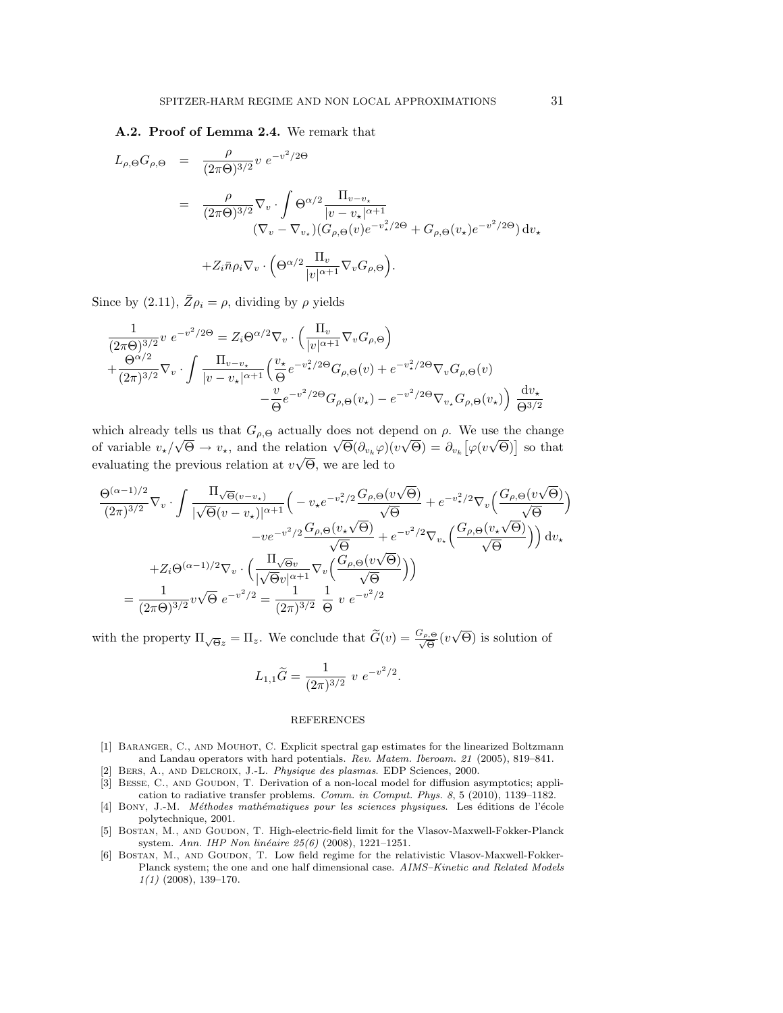#### A.2. Proof of Lemma 2.4. We remark that

$$
L_{\rho,\Theta}G_{\rho,\Theta} = \frac{\rho}{(2\pi\Theta)^{3/2}} v e^{-v^2/2\Theta}
$$
  

$$
= \frac{\rho}{(2\pi\Theta)^{3/2}} \nabla_v \cdot \int \Theta^{\alpha/2} \frac{\Pi_{v-v_*}}{|v-v_*|^{\alpha+1}} \left( \nabla_v - \nabla_{v_*} \right) \left( G_{\rho,\Theta}(v) e^{-v_*^2/2\Theta} + G_{\rho,\Theta}(v_*) e^{-v^2/2\Theta} \right) dv_*
$$

$$
+ Z_i \bar{n} \rho_i \nabla_v \cdot \left( \Theta^{\alpha/2} \frac{\Pi_v}{|v|^{\alpha+1}} \nabla_v G_{\rho,\Theta} \right).
$$

Since by (2.11),  $\bar{Z}\rho_i = \rho$ , dividing by  $\rho$  yields

$$
\frac{1}{(2\pi\Theta)^{3/2}}v e^{-v^2/2\Theta} = Z_i\Theta^{\alpha/2}\nabla_v \cdot \left(\frac{\Pi_v}{|v|^{\alpha+1}}\nabla_v G_{\rho,\Theta}\right) \n+ \frac{\Theta^{\alpha/2}}{(2\pi)^{3/2}}\nabla_v \cdot \int \frac{\Pi_{v-v_\star}}{|v-v_\star|^{\alpha+1}} \left(\frac{v_\star}{\Theta}e^{-v_\star^2/2\Theta}G_{\rho,\Theta}(v) + e^{-v_\star^2/2\Theta}\nabla_v G_{\rho,\Theta}(v) - \frac{v}{\Theta}e^{-v^2/2\Theta}G_{\rho,\Theta}(v_\star) - e^{-v^2/2\Theta}\nabla_{v_\star} G_{\rho,\Theta}(v_\star)\right) \frac{dv_\star}{\Theta^{3/2}}
$$

which already tells us that  $G_{\rho,\Theta}$  actually does not depend on  $\rho$ . We use the change of variable  $v_{\star}/\sqrt{\Theta} \to v_{\star}$ , and the relation  $\sqrt{\Theta}(\partial_{v_k}\varphi)(v\sqrt{\Theta}) = \partial_{v_k}[\varphi(v\sqrt{\Theta})]$  so that evaluating the previous relation at  $v\sqrt{\Theta}$ , we are led to

$$
\frac{\Theta^{(\alpha-1)/2}}{(2\pi)^{3/2}}\nabla_v \cdot \int \frac{\Pi_{\sqrt{\Theta}(v-v_\star)} }{|\sqrt{\Theta}(v-v_\star)|^{\alpha+1}} \left( -v_\star e^{-v_\star^2/2} \frac{G_{\rho,\Theta}(v\sqrt{\Theta})}{\sqrt{\Theta}} + e^{-v_\star^2/2} \nabla_v \left( \frac{G_{\rho,\Theta}(v\sqrt{\Theta})}{\sqrt{\Theta}} \right) \right)
$$

$$
-ve^{-v^2/2} \frac{G_{\rho,\Theta}(v_\star\sqrt{\Theta})}{\sqrt{\Theta}} + e^{-v^2/2} \nabla_{v_\star} \left( \frac{G_{\rho,\Theta}(v_\star\sqrt{\Theta})}{\sqrt{\Theta}} \right) dv_\star
$$

$$
+ Z_i \Theta^{(\alpha-1)/2} \nabla_v \cdot \left( \frac{\Pi_{\sqrt{\Theta}v}}{|\sqrt{\Theta}v|^{\alpha+1}} \nabla_v \left( \frac{G_{\rho,\Theta}(v\sqrt{\Theta})}{\sqrt{\Theta}} \right) \right)
$$

$$
= \frac{1}{(2\pi\Theta)^{3/2}} v \sqrt{\Theta} e^{-v^2/2} = \frac{1}{(2\pi)^{3/2}} \frac{1}{\Theta} v e^{-v^2/2}
$$

with the property  $\Pi_{\sqrt{\Theta}z} = \Pi_z$ . We conclude that  $\widetilde{G}(v) = \frac{G_{\rho,\Theta}}{\sqrt{\Theta}}(v\sqrt{\Theta})$  is solution of

$$
L_{1,1}\widetilde{G} = \frac{1}{(2\pi)^{3/2}} v e^{-v^2/2}.
$$

#### REFERENCES

- [1] BARANGER, C., AND MOUHOT, C. Explicit spectral gap estimates for the linearized Boltzmann and Landau operators with hard potentials. *Rev. Matem. Iberoam. 21* (2005), 819–841.
- [2] Bers, A., and Delcroix, J.-L. *Physique des plasmas*. EDP Sciences, 2000.
- [3] BESSE, C., AND GOUDON, T. Derivation of a non-local model for diffusion asymptotics; application to radiative transfer problems. *Comm. in Comput. Phys. 8*, 5 (2010), 1139–1182.
- [4] BONY, J.-M. *Méthodes mathématiques pour les sciences physiques*. Les éditions de l'école polytechnique, 2001.
- [5] Bostan, M., and Goudon, T. High-electric-field limit for the Vlasov-Maxwell-Fokker-Planck system. *Ann. IHP Non linéaire 25(6)* (2008), 1221-1251.
- [6] Bostan, M., and Goudon, T. Low field regime for the relativistic Vlasov-Maxwell-Fokker-Planck system; the one and one half dimensional case. *AIMS–Kinetic and Related Models 1(1)* (2008), 139–170.